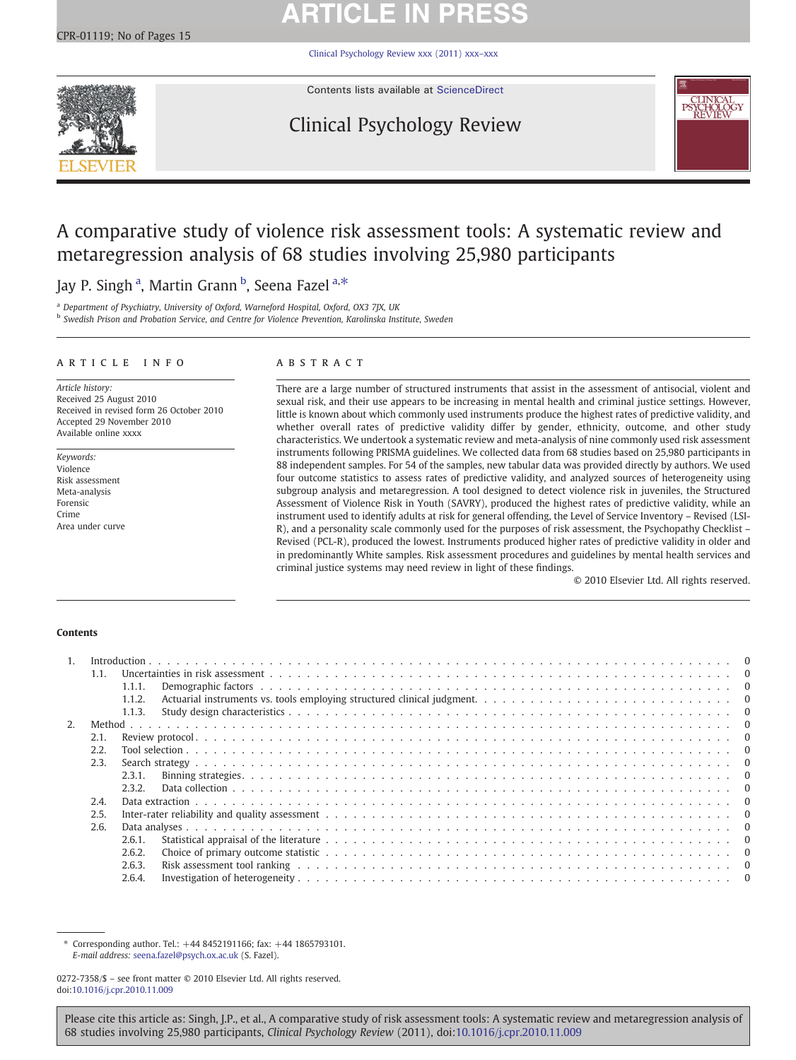# **ARTICLE IN PRESS**

[Clinical Psychology Review xxx \(2011\) xxx](http://dx.doi.org/10.1016/j.cpr.2010.11.009)–xxx



Contents lists available at [ScienceDirect](http://www.sciencedirect.com/science/journal/02727358)

# Clinical Psychology Review



# A comparative study of violence risk assessment tools: A systematic review and metaregression analysis of 68 studies involving 25,980 participants

# Jay P. Singh <sup>a</sup>, Martin Grann <sup>b</sup>, Seena Fazel <sup>a,\*</sup>

<sup>a</sup> Department of Psychiatry, University of Oxford, Warneford Hospital, Oxford, OX3 7JX, UK

b Swedish Prison and Probation Service, and Centre for Violence Prevention, Karolinska Institute, Sweden

# article info abstract

Article history: Received 25 August 2010 Received in revised form 26 October 2010 Accepted 29 November 2010 Available online xxxx

Keywords: Violence Risk assessment Meta-analysis Forensic Crime Area under curve

There are a large number of structured instruments that assist in the assessment of antisocial, violent and sexual risk, and their use appears to be increasing in mental health and criminal justice settings. However, little is known about which commonly used instruments produce the highest rates of predictive validity, and whether overall rates of predictive validity differ by gender, ethnicity, outcome, and other study characteristics. We undertook a systematic review and meta-analysis of nine commonly used risk assessment instruments following PRISMA guidelines. We collected data from 68 studies based on 25,980 participants in 88 independent samples. For 54 of the samples, new tabular data was provided directly by authors. We used four outcome statistics to assess rates of predictive validity, and analyzed sources of heterogeneity using subgroup analysis and metaregression. A tool designed to detect violence risk in juveniles, the Structured Assessment of Violence Risk in Youth (SAVRY), produced the highest rates of predictive validity, while an instrument used to identify adults at risk for general offending, the Level of Service Inventory – Revised (LSI-R), and a personality scale commonly used for the purposes of risk assessment, the Psychopathy Checklist – Revised (PCL-R), produced the lowest. Instruments produced higher rates of predictive validity in older and in predominantly White samples. Risk assessment procedures and guidelines by mental health services and criminal justice systems may need review in light of these findings.

© 2010 Elsevier Ltd. All rights reserved.

# **Contents**

|    | 1.1. |        |  |
|----|------|--------|--|
|    |      | 1.1.1. |  |
|    |      | 1.1.2. |  |
|    |      | 1.1.3. |  |
| 2. |      |        |  |
|    | 2.1. |        |  |
|    | 2.2. |        |  |
|    | 2.3. |        |  |
|    |      | 2.3.1. |  |
|    |      | 2.3.2. |  |
|    | 2.4. |        |  |
|    | 2.5. |        |  |
|    | 2.6. |        |  |
|    |      | 2.6.1  |  |
|    |      | 2.6.2. |  |
|    |      | 2.6.3. |  |
|    |      | 2.6.4. |  |

⁎ Corresponding author. Tel.: +44 8452191166; fax: +44 1865793101. E-mail address: [seena.fazel@psych.ox.ac.uk](mailto:seena.fazel@psych.ox.ac.uk) (S. Fazel).

<sup>0272-7358/\$</sup> – see front matter © 2010 Elsevier Ltd. All rights reserved. doi:[10.1016/j.cpr.2010.11.009](http://dx.doi.org/10.1016/j.cpr.2010.11.009)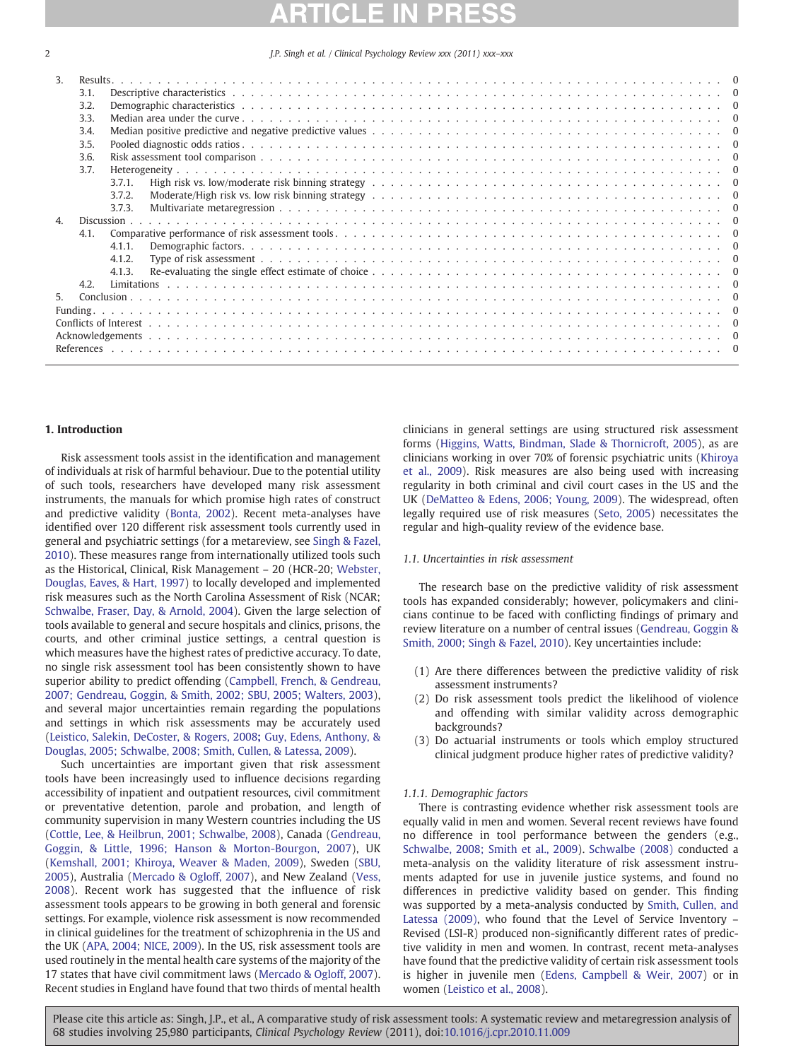| 3. | Results    |  |
|----|------------|--|
|    | 3.1.       |  |
|    | 3.2.       |  |
|    | 3.3.       |  |
|    | 3.4.       |  |
|    | 3.5.       |  |
|    | 3.6.       |  |
|    | 3.7.       |  |
|    | 3.7.1      |  |
|    | 3.7.2.     |  |
|    | 3.7.3.     |  |
| 4. | Discussion |  |
|    | 4.1.       |  |
|    | 4.1.1      |  |
|    | 4.1.2.     |  |
|    | 4.1.3.     |  |
|    | 4.2.       |  |
| 5. |            |  |
|    | Funding.   |  |
|    |            |  |
|    |            |  |
|    | References |  |
|    |            |  |

# 1. Introduction

Risk assessment tools assist in the identification and management of individuals at risk of harmful behaviour. Due to the potential utility of such tools, researchers have developed many risk assessment instruments, the manuals for which promise high rates of construct and predictive validity [\(Bonta, 2002\)](#page-12-0). Recent meta-analyses have identified over 120 different risk assessment tools currently used in general and psychiatric settings (for a metareview, see [Singh & Fazel,](#page-13-0) [2010\)](#page-13-0). These measures range from internationally utilized tools such as the Historical, Clinical, Risk Management – 20 (HCR-20; [Webster,](#page-13-0) [Douglas, Eaves, & Hart, 1997](#page-13-0)) to locally developed and implemented risk measures such as the North Carolina Assessment of Risk (NCAR; [Schwalbe, Fraser, Day, & Arnold, 2004\)](#page-13-0). Given the large selection of tools available to general and secure hospitals and clinics, prisons, the courts, and other criminal justice settings, a central question is which measures have the highest rates of predictive accuracy. To date, no single risk assessment tool has been consistently shown to have superior ability to predict offending ([Campbell, French, & Gendreau,](#page-12-0) [2007; Gendreau, Goggin, & Smith, 2002; SBU, 2005; Walters, 2003](#page-12-0)), and several major uncertainties remain regarding the populations and settings in which risk assessments may be accurately used [\(Leistico, Salekin, DeCoster, & Rogers, 2008](#page-13-0); Guy, Edens, Anthony, & [Douglas, 2005; Schwalbe, 2008; Smith, Cullen, & Latessa, 2009](#page-13-0)).

Such uncertainties are important given that risk assessment tools have been increasingly used to influence decisions regarding accessibility of inpatient and outpatient resources, civil commitment or preventative detention, parole and probation, and length of community supervision in many Western countries including the US [\(Cottle, Lee, & Heilbrun, 2001; Schwalbe, 2008\)](#page-12-0), Canada ([Gendreau,](#page-12-0) [Goggin, & Little, 1996; Hanson & Morton-Bourgon, 2007](#page-12-0)), UK [\(Kemshall, 2001; Khiroya, Weaver & Maden, 2009\)](#page-13-0), Sweden [\(SBU,](#page-13-0) [2005\)](#page-13-0), Australia [\(Mercado & Ogloff, 2007](#page-13-0)), and New Zealand ([Vess,](#page-13-0) [2008\)](#page-13-0). Recent work has suggested that the influence of risk assessment tools appears to be growing in both general and forensic settings. For example, violence risk assessment is now recommended in clinical guidelines for the treatment of schizophrenia in the US and the UK ([APA, 2004; NICE, 2009\)](#page-12-0). In the US, risk assessment tools are used routinely in the mental health care systems of the majority of the 17 states that have civil commitment laws ([Mercado & Ogloff, 2007](#page-13-0)). Recent studies in England have found that two thirds of mental health

clinicians in general settings are using structured risk assessment forms ([Higgins, Watts, Bindman, Slade & Thornicroft, 2005\)](#page-13-0), as are clinicians working in over 70% of forensic psychiatric units [\(Khiroya](#page-13-0) [et al., 2009\)](#page-13-0). Risk measures are also being used with increasing regularity in both criminal and civil court cases in the US and the UK [\(DeMatteo & Edens, 2006; Young, 2009](#page-12-0)). The widespread, often legally required use of risk measures ([Seto, 2005](#page-13-0)) necessitates the regular and high-quality review of the evidence base.

# 1.1. Uncertainties in risk assessment

The research base on the predictive validity of risk assessment tools has expanded considerably; however, policymakers and clinicians continue to be faced with conflicting findings of primary and review literature on a number of central issues ([Gendreau, Goggin &](#page-12-0) [Smith, 2000; Singh & Fazel, 2010](#page-12-0)). Key uncertainties include:

- (1) Are there differences between the predictive validity of risk assessment instruments?
- (2) Do risk assessment tools predict the likelihood of violence and offending with similar validity across demographic backgrounds?
- (3) Do actuarial instruments or tools which employ structured clinical judgment produce higher rates of predictive validity?

# 1.1.1. Demographic factors

There is contrasting evidence whether risk assessment tools are equally valid in men and women. Several recent reviews have found no difference in tool performance between the genders (e.g., [Schwalbe, 2008; Smith et al., 2009](#page-13-0)). [Schwalbe \(2008\)](#page-13-0) conducted a meta-analysis on the validity literature of risk assessment instruments adapted for use in juvenile justice systems, and found no differences in predictive validity based on gender. This finding was supported by a meta-analysis conducted by [Smith, Cullen, and](#page-13-0) [Latessa \(2009\)](#page-13-0), who found that the Level of Service Inventory – Revised (LSI-R) produced non-significantly different rates of predictive validity in men and women. In contrast, recent meta-analyses have found that the predictive validity of certain risk assessment tools is higher in juvenile men [\(Edens, Campbell & Weir, 2007](#page-12-0)) or in women [\(Leistico et al., 2008\)](#page-13-0).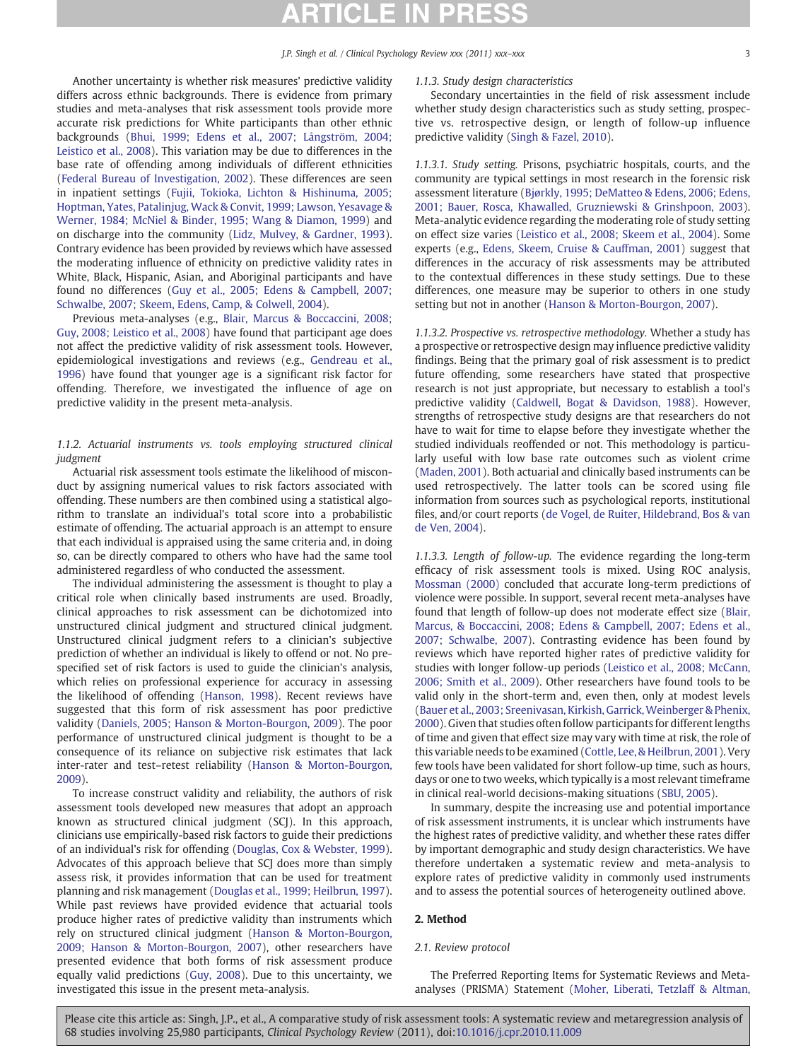Another uncertainty is whether risk measures' predictive validity differs across ethnic backgrounds. There is evidence from primary studies and meta-analyses that risk assessment tools provide more accurate risk predictions for White participants than other ethnic backgrounds ([Bhui, 1999; Edens et al., 2007; Långström, 2004;](#page-12-0) [Leistico et al., 2008\)](#page-12-0). This variation may be due to differences in the base rate of offending among individuals of different ethnicities [\(Federal Bureau of Investigation, 2002](#page-12-0)). These differences are seen in inpatient settings [\(Fujii, Tokioka, Lichton & Hishinuma, 2005;](#page-12-0) [Hoptman, Yates, Patalinjug, Wack & Convit, 1999; Lawson, Yesavage &](#page-12-0) [Werner, 1984; McNiel & Binder, 1995; Wang & Diamon, 1999](#page-12-0)) and on discharge into the community [\(Lidz, Mulvey, & Gardner, 1993](#page-13-0)). Contrary evidence has been provided by reviews which have assessed the moderating influence of ethnicity on predictive validity rates in White, Black, Hispanic, Asian, and Aboriginal participants and have found no differences ([Guy et al., 2005; Edens & Campbell, 2007;](#page-12-0) [Schwalbe, 2007; Skeem, Edens, Camp, & Colwell, 2004](#page-12-0)).

Previous meta-analyses (e.g., [Blair, Marcus & Boccaccini, 2008;](#page-12-0) [Guy, 2008; Leistico et al., 2008\)](#page-12-0) have found that participant age does not affect the predictive validity of risk assessment tools. However, epidemiological investigations and reviews (e.g., [Gendreau et al.,](#page-12-0) [1996\)](#page-12-0) have found that younger age is a significant risk factor for offending. Therefore, we investigated the influence of age on predictive validity in the present meta-analysis.

1.1.2. Actuarial instruments vs. tools employing structured clinical judgment

Actuarial risk assessment tools estimate the likelihood of misconduct by assigning numerical values to risk factors associated with offending. These numbers are then combined using a statistical algorithm to translate an individual's total score into a probabilistic estimate of offending. The actuarial approach is an attempt to ensure that each individual is appraised using the same criteria and, in doing so, can be directly compared to others who have had the same tool administered regardless of who conducted the assessment.

The individual administering the assessment is thought to play a critical role when clinically based instruments are used. Broadly, clinical approaches to risk assessment can be dichotomized into unstructured clinical judgment and structured clinical judgment. Unstructured clinical judgment refers to a clinician's subjective prediction of whether an individual is likely to offend or not. No prespecified set of risk factors is used to guide the clinician's analysis, which relies on professional experience for accuracy in assessing the likelihood of offending [\(Hanson, 1998](#page-12-0)). Recent reviews have suggested that this form of risk assessment has poor predictive validity ([Daniels, 2005; Hanson & Morton-Bourgon, 2009\)](#page-12-0). The poor performance of unstructured clinical judgment is thought to be a consequence of its reliance on subjective risk estimates that lack inter-rater and test–retest reliability ([Hanson & Morton-Bourgon,](#page-12-0) [2009\)](#page-12-0).

To increase construct validity and reliability, the authors of risk assessment tools developed new measures that adopt an approach known as structured clinical judgment (SCJ). In this approach, clinicians use empirically-based risk factors to guide their predictions of an individual's risk for offending ([Douglas, Cox & Webster, 1999](#page-12-0)). Advocates of this approach believe that SCJ does more than simply assess risk, it provides information that can be used for treatment planning and risk management [\(Douglas et al., 1999; Heilbrun, 1997](#page-12-0)). While past reviews have provided evidence that actuarial tools produce higher rates of predictive validity than instruments which rely on structured clinical judgment [\(Hanson & Morton-Bourgon,](#page-12-0) [2009; Hanson & Morton-Bourgon, 2007\)](#page-12-0), other researchers have presented evidence that both forms of risk assessment produce equally valid predictions ([Guy, 2008](#page-12-0)). Due to this uncertainty, we investigated this issue in the present meta-analysis.

# 1.1.3. Study design characteristics

Secondary uncertainties in the field of risk assessment include whether study design characteristics such as study setting, prospective vs. retrospective design, or length of follow-up influence predictive validity ([Singh & Fazel, 2010\)](#page-13-0).

1.1.3.1. Study setting. Prisons, psychiatric hospitals, courts, and the community are typical settings in most research in the forensic risk assessment literature ([Bjørkly, 1995; DeMatteo & Edens, 2006; Edens,](#page-12-0) [2001; Bauer, Rosca, Khawalled, Gruzniewski & Grinshpoon, 2003](#page-12-0)). Meta-analytic evidence regarding the moderating role of study setting on effect size varies ([Leistico et al., 2008; Skeem et al., 2004](#page-13-0)). Some experts (e.g., [Edens, Skeem, Cruise & Cauffman, 2001\)](#page-12-0) suggest that differences in the accuracy of risk assessments may be attributed to the contextual differences in these study settings. Due to these differences, one measure may be superior to others in one study setting but not in another ([Hanson & Morton-Bourgon, 2007](#page-12-0)).

1.1.3.2. Prospective vs. retrospective methodology. Whether a study has a prospective or retrospective design may influence predictive validity findings. Being that the primary goal of risk assessment is to predict future offending, some researchers have stated that prospective research is not just appropriate, but necessary to establish a tool's predictive validity ([Caldwell, Bogat & Davidson, 1988](#page-12-0)). However, strengths of retrospective study designs are that researchers do not have to wait for time to elapse before they investigate whether the studied individuals reoffended or not. This methodology is particularly useful with low base rate outcomes such as violent crime [\(Maden, 2001](#page-13-0)). Both actuarial and clinically based instruments can be used retrospectively. The latter tools can be scored using file information from sources such as psychological reports, institutional files, and/or court reports ([de Vogel, de Ruiter, Hildebrand, Bos & van](#page-12-0) [de Ven, 2004](#page-12-0)).

1.1.3.3. Length of follow-up. The evidence regarding the long-term efficacy of risk assessment tools is mixed. Using ROC analysis, [Mossman \(2000\)](#page-13-0) concluded that accurate long-term predictions of violence were possible. In support, several recent meta-analyses have found that length of follow-up does not moderate effect size [\(Blair,](#page-12-0) [Marcus, & Boccaccini, 2008; Edens & Campbell, 2007; Edens et al.,](#page-12-0) [2007; Schwalbe, 2007\)](#page-12-0). Contrasting evidence has been found by reviews which have reported higher rates of predictive validity for studies with longer follow-up periods [\(Leistico et al., 2008; McCann,](#page-13-0) [2006; Smith et al., 2009](#page-13-0)). Other researchers have found tools to be valid only in the short-term and, even then, only at modest levels [\(Bauer et al., 2003; Sreenivasan, Kirkish, Garrick,Weinberger & Phenix,](#page-12-0) [2000\)](#page-12-0). Given that studies often follow participants for different lengths of time and given that effect size may vary with time at risk, the role of this variable needs to be examined ([Cottle, Lee, & Heilbrun, 2001](#page-12-0)). Very few tools have been validated for short follow-up time, such as hours, days or one to two weeks, which typically is a most relevant timeframe in clinical real-world decisions-making situations [\(SBU, 2005\)](#page-13-0).

In summary, despite the increasing use and potential importance of risk assessment instruments, it is unclear which instruments have the highest rates of predictive validity, and whether these rates differ by important demographic and study design characteristics. We have therefore undertaken a systematic review and meta-analysis to explore rates of predictive validity in commonly used instruments and to assess the potential sources of heterogeneity outlined above.

# 2. Method

# 2.1. Review protocol

The Preferred Reporting Items for Systematic Reviews and Metaanalyses (PRISMA) Statement ([Moher, Liberati, Tetzlaff & Altman,](#page-13-0)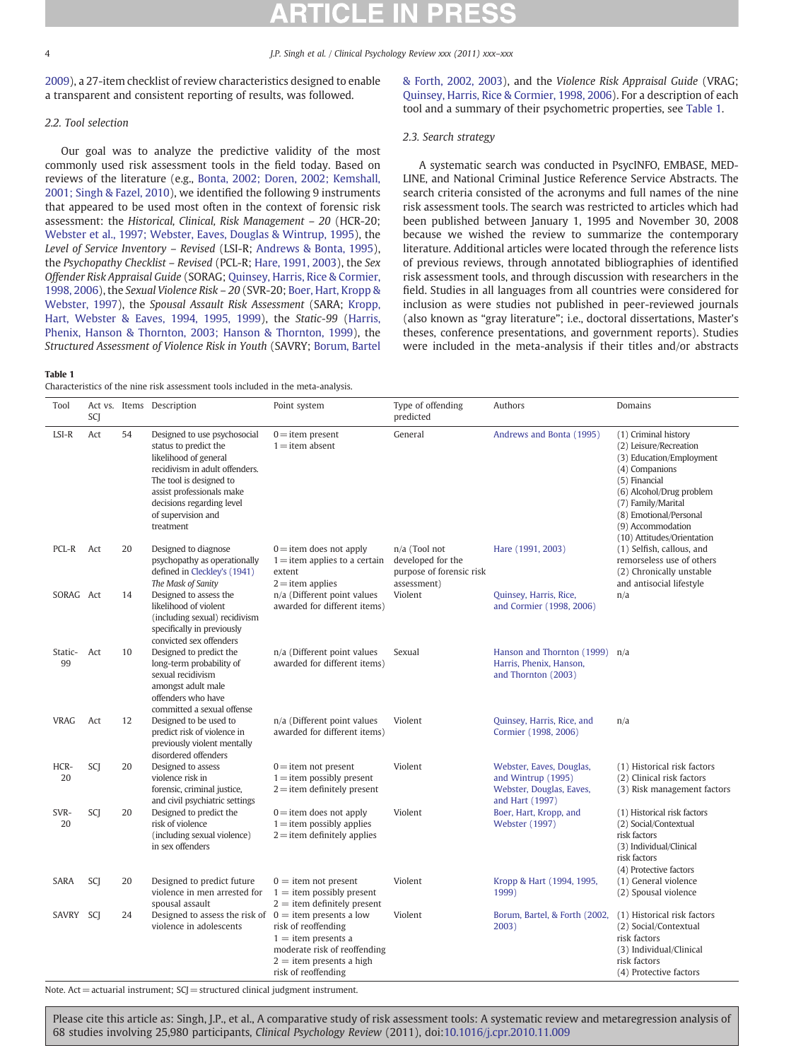[2009\)](#page-13-0), a 27-item checklist of review characteristics designed to enable a transparent and consistent reporting of results, was followed.

# 2.2. Tool selection

Our goal was to analyze the predictive validity of the most commonly used risk assessment tools in the field today. Based on reviews of the literature (e.g., [Bonta, 2002; Doren, 2002; Kemshall,](#page-12-0) [2001; Singh & Fazel, 2010\)](#page-12-0), we identified the following 9 instruments that appeared to be used most often in the context of forensic risk assessment: the Historical, Clinical, Risk Management – 20 (HCR-20; [Webster et al., 1997; Webster, Eaves, Douglas & Wintrup, 1995](#page-13-0)), the Level of Service Inventory – Revised (LSI-R; [Andrews & Bonta, 1995](#page-12-0)), the Psychopathy Checklist – Revised (PCL-R; [Hare, 1991, 2003\)](#page-12-0), the Sex Offender Risk Appraisal Guide (SORAG; [Quinsey, Harris, Rice & Cormier,](#page-13-0) [1998, 2006\)](#page-13-0), the Sexual Violence Risk – 20 (SVR-20; [Boer, Hart, Kropp &](#page-12-0) [Webster, 1997\)](#page-12-0), the Spousal Assault Risk Assessment (SARA; [Kropp,](#page-13-0) [Hart, Webster & Eaves, 1994, 1995, 1999](#page-13-0)), the Static-99 ([Harris,](#page-12-0) [Phenix, Hanson & Thornton, 2003; Hanson & Thornton, 1999](#page-12-0)), the Structured Assessment of Violence Risk in Youth (SAVRY; [Borum, Bartel](#page-12-0)

### Table 1

Characteristics of the nine risk assessment tools included in the meta-analysis.

[& Forth, 2002, 2003](#page-12-0)), and the Violence Risk Appraisal Guide (VRAG; [Quinsey, Harris, Rice & Cormier, 1998, 2006\)](#page-13-0). For a description of each tool and a summary of their psychometric properties, see Table 1.

# 2.3. Search strategy

A systematic search was conducted in PsycINFO, EMBASE, MED-LINE, and National Criminal Justice Reference Service Abstracts. The search criteria consisted of the acronyms and full names of the nine risk assessment tools. The search was restricted to articles which had been published between January 1, 1995 and November 30, 2008 because we wished the review to summarize the contemporary literature. Additional articles were located through the reference lists of previous reviews, through annotated bibliographies of identified risk assessment tools, and through discussion with researchers in the field. Studies in all languages from all countries were considered for inclusion as were studies not published in peer-reviewed journals (also known as "gray literature"; i.e., doctoral dissertations, Master's theses, conference presentations, and government reports). Studies were included in the meta-analysis if their titles and/or abstracts

| Tool          | SCJ |    | Act vs. Items Description                                                                                                                                                                                                                | Point system                                                                                                                      | Type of offending<br>predicted                                                | Authors                                                                                       | Domains                                                                                                                                                                                                                                      |
|---------------|-----|----|------------------------------------------------------------------------------------------------------------------------------------------------------------------------------------------------------------------------------------------|-----------------------------------------------------------------------------------------------------------------------------------|-------------------------------------------------------------------------------|-----------------------------------------------------------------------------------------------|----------------------------------------------------------------------------------------------------------------------------------------------------------------------------------------------------------------------------------------------|
| LSI-R         | Act | 54 | Designed to use psychosocial<br>status to predict the<br>likelihood of general<br>recidivism in adult offenders.<br>The tool is designed to<br>assist professionals make<br>decisions regarding level<br>of supervision and<br>treatment | $0 =$ item present<br>$1 =$ item absent                                                                                           | General                                                                       | Andrews and Bonta (1995)                                                                      | (1) Criminal history<br>(2) Leisure/Recreation<br>(3) Education/Employment<br>(4) Companions<br>(5) Financial<br>(6) Alcohol/Drug problem<br>(7) Family/Marital<br>(8) Emotional/Personal<br>(9) Accommodation<br>(10) Attitudes/Orientation |
| PCL-R         | Act | 20 | Designed to diagnose<br>psychopathy as operationally<br>defined in Cleckley's (1941)<br>The Mask of Sanity                                                                                                                               | $0 =$ item does not apply<br>$1 =$ item applies to a certain<br>extent<br>$2 =$ item applies                                      | n/a (Tool not<br>developed for the<br>purpose of forensic risk<br>assessment) | Hare (1991, 2003)                                                                             | (1) Selfish, callous, and<br>remorseless use of others<br>(2) Chronically unstable<br>and antisocial lifestyle                                                                                                                               |
| SORAG Act     |     | 14 | Designed to assess the<br>likelihood of violent<br>(including sexual) recidivism<br>specifically in previously<br>convicted sex offenders                                                                                                | n/a (Different point values<br>awarded for different items)                                                                       | Violent                                                                       | Quinsey, Harris, Rice,<br>and Cormier (1998, 2006)                                            | n/a                                                                                                                                                                                                                                          |
| Static-<br>99 | Act | 10 | Designed to predict the<br>long-term probability of<br>sexual recidivism<br>amongst adult male<br>offenders who have<br>committed a sexual offense                                                                                       | n/a (Different point values<br>awarded for different items)                                                                       | Sexual                                                                        | Hanson and Thornton (1999) n/a<br>Harris, Phenix, Hanson,<br>and Thornton (2003)              |                                                                                                                                                                                                                                              |
| <b>VRAG</b>   | Act | 12 | Designed to be used to<br>predict risk of violence in<br>previously violent mentally<br>disordered offenders                                                                                                                             | n/a (Different point values<br>awarded for different items)                                                                       | Violent                                                                       | Quinsey, Harris, Rice, and<br>Cormier (1998, 2006)                                            | n/a                                                                                                                                                                                                                                          |
| HCR-<br>20    | SCJ | 20 | Designed to assess<br>violence risk in<br>forensic, criminal justice,<br>and civil psychiatric settings                                                                                                                                  | $0 =$ item not present<br>$1 =$ item possibly present<br>$2 =$ item definitely present                                            | Violent                                                                       | Webster, Eaves, Douglas,<br>and Wintrup (1995)<br>Webster, Douglas, Eaves,<br>and Hart (1997) | (1) Historical risk factors<br>(2) Clinical risk factors<br>(3) Risk management factors                                                                                                                                                      |
| SVR-<br>20    | SCJ | 20 | Designed to predict the<br>risk of violence<br>(including sexual violence)<br>in sex offenders                                                                                                                                           | $0 =$ item does not apply<br>$1 =$ item possibly applies<br>$2 =$ item definitely applies                                         | Violent                                                                       | Boer, Hart, Kropp, and<br><b>Webster</b> (1997)                                               | (1) Historical risk factors<br>(2) Social/Contextual<br>risk factors<br>(3) Individual/Clinical<br>risk factors<br>(4) Protective factors                                                                                                    |
| SARA          | SCJ | 20 | Designed to predict future<br>violence in men arrested for<br>spousal assault                                                                                                                                                            | $0 =$ item not present<br>$1 =$ item possibly present<br>$2 =$ item definitely present                                            | Violent                                                                       | Kropp & Hart (1994, 1995,<br>1999)                                                            | (1) General violence<br>(2) Spousal violence                                                                                                                                                                                                 |
| SAVRY         | SCI | 24 | Designed to assess the risk of $0 =$ item presents a low<br>violence in adolescents                                                                                                                                                      | risk of reoffending<br>$1 =$ item presents a<br>moderate risk of reoffending<br>$2 =$ item presents a high<br>risk of reoffending | Violent                                                                       | Borum, Bartel, & Forth (2002,<br>2003)                                                        | (1) Historical risk factors<br>(2) Social/Contextual<br>risk factors<br>(3) Individual/Clinical<br>risk factors<br>(4) Protective factors                                                                                                    |

Note.  $Act = actual$  instrument;  $SCJ = structured$  clinical judgment instrument.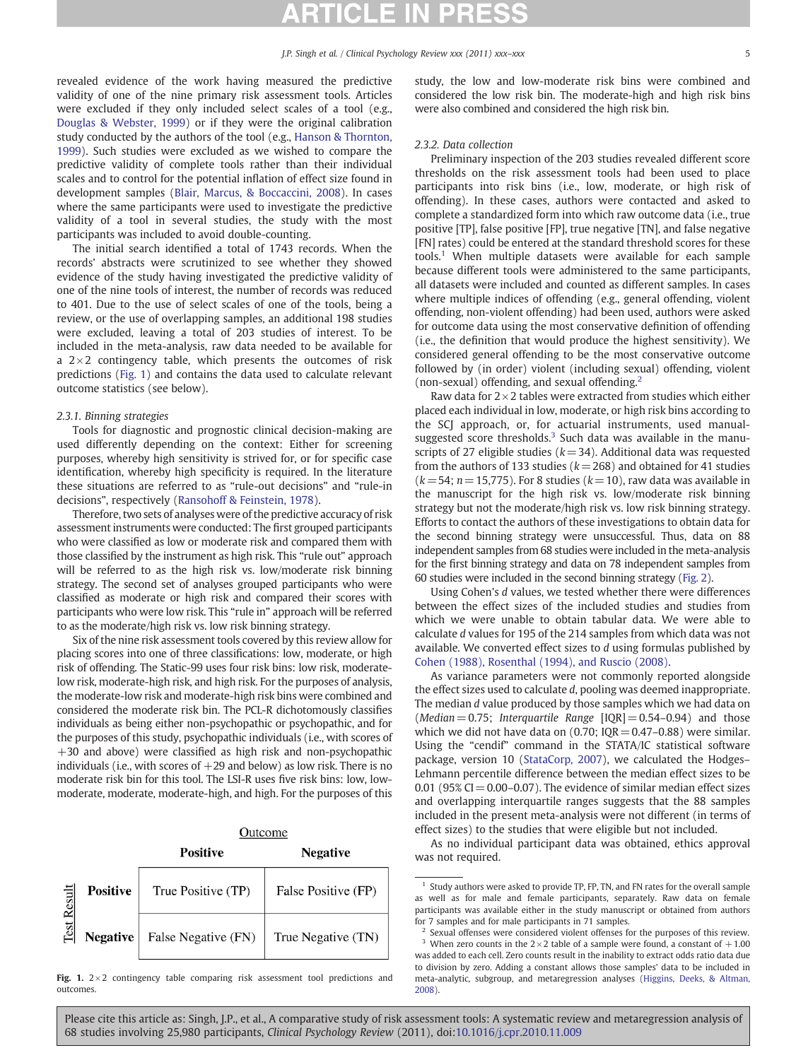revealed evidence of the work having measured the predictive validity of one of the nine primary risk assessment tools. Articles were excluded if they only included select scales of a tool (e.g., [Douglas & Webster, 1999\)](#page-12-0) or if they were the original calibration study conducted by the authors of the tool (e.g., [Hanson & Thornton,](#page-12-0) [1999\)](#page-12-0). Such studies were excluded as we wished to compare the predictive validity of complete tools rather than their individual scales and to control for the potential inflation of effect size found in development samples ([Blair, Marcus, & Boccaccini, 2008](#page-12-0)). In cases where the same participants were used to investigate the predictive validity of a tool in several studies, the study with the most participants was included to avoid double-counting.

The initial search identified a total of 1743 records. When the records' abstracts were scrutinized to see whether they showed evidence of the study having investigated the predictive validity of one of the nine tools of interest, the number of records was reduced to 401. Due to the use of select scales of one of the tools, being a review, or the use of overlapping samples, an additional 198 studies were excluded, leaving a total of 203 studies of interest. To be included in the meta-analysis, raw data needed to be available for a  $2 \times 2$  contingency table, which presents the outcomes of risk predictions (Fig. 1) and contains the data used to calculate relevant outcome statistics (see below).

## 2.3.1. Binning strategies

Tools for diagnostic and prognostic clinical decision-making are used differently depending on the context: Either for screening purposes, whereby high sensitivity is strived for, or for specific case identification, whereby high specificity is required. In the literature these situations are referred to as "rule-out decisions" and "rule-in decisions", respectively [\(Ransohoff & Feinstein, 1978\)](#page-13-0).

Therefore, two sets of analyses were of the predictive accuracy of risk assessment instruments were conducted: The first grouped participants who were classified as low or moderate risk and compared them with those classified by the instrument as high risk. This "rule out" approach will be referred to as the high risk vs. low/moderate risk binning strategy. The second set of analyses grouped participants who were classified as moderate or high risk and compared their scores with participants who were low risk. This "rule in" approach will be referred to as the moderate/high risk vs. low risk binning strategy.

Six of the nine risk assessment tools covered by this review allow for placing scores into one of three classifications: low, moderate, or high risk of offending. The Static-99 uses four risk bins: low risk, moderatelow risk, moderate-high risk, and high risk. For the purposes of analysis, the moderate-low risk and moderate-high risk bins were combined and considered the moderate risk bin. The PCL-R dichotomously classifies individuals as being either non-psychopathic or psychopathic, and for the purposes of this study, psychopathic individuals (i.e., with scores of +30 and above) were classified as high risk and non-psychopathic individuals (i.e., with scores of  $+29$  and below) as low risk. There is no moderate risk bin for this tool. The LSI-R uses five risk bins: low, lowmoderate, moderate, moderate-high, and high. For the purposes of this

Outcome

|        |                 | <b>Positive</b>     | <b>Negative</b>     |
|--------|-----------------|---------------------|---------------------|
| Result | <b>Positive</b> | True Positive (TP)  | False Positive (FP) |
| Test   | <b>Negative</b> | False Negative (FN) | True Negative (TN)  |

Fig. 1.  $2 \times 2$  contingency table comparing risk assessment tool predictions and outcomes.

study, the low and low-moderate risk bins were combined and considered the low risk bin. The moderate-high and high risk bins were also combined and considered the high risk bin.

### 2.3.2. Data collection

Preliminary inspection of the 203 studies revealed different score thresholds on the risk assessment tools had been used to place participants into risk bins (i.e., low, moderate, or high risk of offending). In these cases, authors were contacted and asked to complete a standardized form into which raw outcome data (i.e., true positive [TP], false positive [FP], true negative [TN], and false negative [FN] rates) could be entered at the standard threshold scores for these  $tools<sup>1</sup>$  When multiple datasets were available for each sample because different tools were administered to the same participants, all datasets were included and counted as different samples. In cases where multiple indices of offending (e.g., general offending, violent offending, non-violent offending) had been used, authors were asked for outcome data using the most conservative definition of offending (i.e., the definition that would produce the highest sensitivity). We considered general offending to be the most conservative outcome followed by (in order) violent (including sexual) offending, violent (non-sexual) offending, and sexual offending.2

Raw data for  $2 \times 2$  tables were extracted from studies which either placed each individual in low, moderate, or high risk bins according to the SCJ approach, or, for actuarial instruments, used manualsuggested score thresholds. $3$  Such data was available in the manuscripts of 27 eligible studies ( $k=$  34). Additional data was requested from the authors of 133 studies ( $k= 268$ ) and obtained for 41 studies  $(k=54; n= 15,775)$ . For 8 studies  $(k=10)$ , raw data was available in the manuscript for the high risk vs. low/moderate risk binning strategy but not the moderate/high risk vs. low risk binning strategy. Efforts to contact the authors of these investigations to obtain data for the second binning strategy were unsuccessful. Thus, data on 88 independent samples from 68 studies were included in the meta-analysis for the first binning strategy and data on 78 independent samples from 60 studies were included in the second binning strategy [\(Fig. 2](#page-5-0)).

Using Cohen's d values, we tested whether there were differences between the effect sizes of the included studies and studies from which we were unable to obtain tabular data. We were able to calculate d values for 195 of the 214 samples from which data was not available. We converted effect sizes to d using formulas published by [Cohen \(1988\), Rosenthal \(1994\), and Ruscio \(2008\)](#page-12-0).

As variance parameters were not commonly reported alongside the effect sizes used to calculate d, pooling was deemed inappropriate. The median d value produced by those samples which we had data on (*Median* = 0.75; *Interquartile Range*  $[IQR] = 0.54 - 0.94$ ) and those which we did not have data on  $(0.70; IQR = 0.47-0.88)$  were similar. Using the "cendif" command in the STATA/IC statistical software package, version 10 ([StataCorp, 2007\)](#page-13-0), we calculated the Hodges– Lehmann percentile difference between the median effect sizes to be 0.01 (95% CI =  $0.00-0.07$ ). The evidence of similar median effect sizes and overlapping interquartile ranges suggests that the 88 samples included in the present meta-analysis were not different (in terms of effect sizes) to the studies that were eligible but not included.

As no individual participant data was obtained, ethics approval was not required.

 $1$  Study authors were asked to provide TP, FP, TN, and FN rates for the overall sample as well as for male and female participants, separately. Raw data on female participants was available either in the study manuscript or obtained from authors for 7 samples and for male participants in 71 samples.

Sexual offenses were considered violent offenses for the purposes of this review. <sup>3</sup> When zero counts in the  $2 \times 2$  table of a sample were found, a constant of  $+1.00$ was added to each cell. Zero counts result in the inability to extract odds ratio data due to division by zero. Adding a constant allows those samples' data to be included in meta-analytic, subgroup, and metaregression analyses ([Higgins, Deeks, & Altman,](#page-12-0) [2008](#page-12-0)).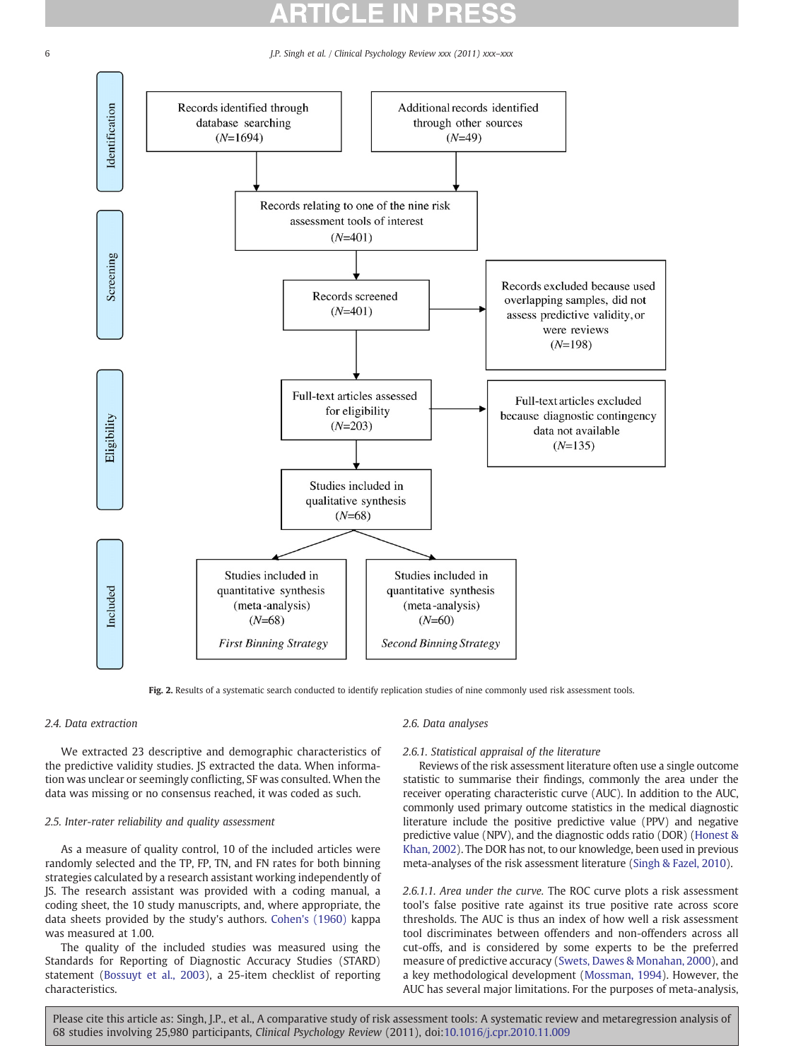<span id="page-5-0"></span>

Fig. 2. Results of a systematic search conducted to identify replication studies of nine commonly used risk assessment tools.

# 2.4. Data extraction

We extracted 23 descriptive and demographic characteristics of the predictive validity studies. JS extracted the data. When information was unclear or seemingly conflicting, SF was consulted. When the data was missing or no consensus reached, it was coded as such.

# 2.5. Inter-rater reliability and quality assessment

As a measure of quality control, 10 of the included articles were randomly selected and the TP, FP, TN, and FN rates for both binning strategies calculated by a research assistant working independently of JS. The research assistant was provided with a coding manual, a coding sheet, the 10 study manuscripts, and, where appropriate, the data sheets provided by the study's authors. [Cohen's \(1960\)](#page-12-0) kappa was measured at 1.00.

The quality of the included studies was measured using the Standards for Reporting of Diagnostic Accuracy Studies (STARD) statement ([Bossuyt et al., 2003](#page-12-0)), a 25-item checklist of reporting characteristics.

## 2.6. Data analyses

# 2.6.1. Statistical appraisal of the literature

Reviews of the risk assessment literature often use a single outcome statistic to summarise their findings, commonly the area under the receiver operating characteristic curve (AUC). In addition to the AUC, commonly used primary outcome statistics in the medical diagnostic literature include the positive predictive value (PPV) and negative predictive value (NPV), and the diagnostic odds ratio (DOR) [\(Honest &](#page-13-0) [Khan, 2002\)](#page-13-0). The DOR has not, to our knowledge, been used in previous meta-analyses of the risk assessment literature [\(Singh & Fazel, 2010](#page-13-0)).

2.6.1.1. Area under the curve. The ROC curve plots a risk assessment tool's false positive rate against its true positive rate across score thresholds. The AUC is thus an index of how well a risk assessment tool discriminates between offenders and non-offenders across all cut-offs, and is considered by some experts to be the preferred measure of predictive accuracy [\(Swets, Dawes & Monahan, 2000](#page-13-0)), and a key methodological development [\(Mossman, 1994](#page-13-0)). However, the AUC has several major limitations. For the purposes of meta-analysis,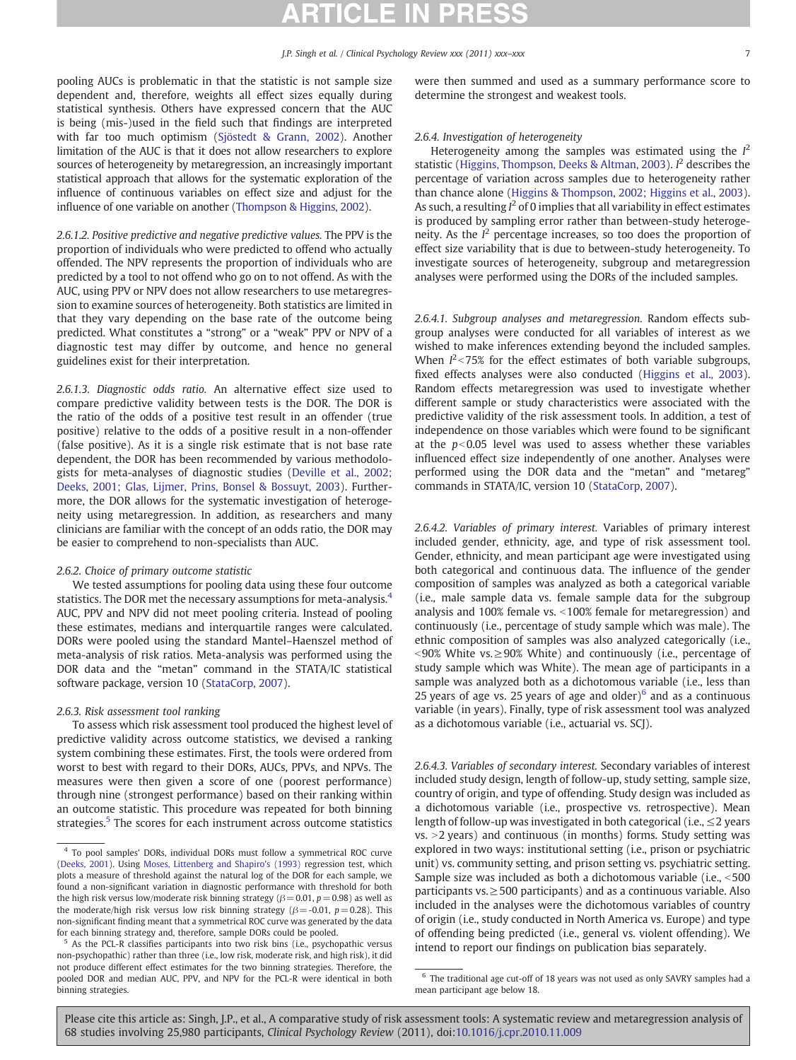pooling AUCs is problematic in that the statistic is not sample size dependent and, therefore, weights all effect sizes equally during statistical synthesis. Others have expressed concern that the AUC is being (mis-)used in the field such that findings are interpreted with far too much optimism [\(Sjöstedt & Grann, 2002](#page-13-0)). Another limitation of the AUC is that it does not allow researchers to explore sources of heterogeneity by metaregression, an increasingly important statistical approach that allows for the systematic exploration of the influence of continuous variables on effect size and adjust for the influence of one variable on another ([Thompson & Higgins, 2002\)](#page-13-0).

2.6.1.2. Positive predictive and negative predictive values. The PPV is the proportion of individuals who were predicted to offend who actually offended. The NPV represents the proportion of individuals who are predicted by a tool to not offend who go on to not offend. As with the AUC, using PPV or NPV does not allow researchers to use metaregression to examine sources of heterogeneity. Both statistics are limited in that they vary depending on the base rate of the outcome being predicted. What constitutes a "strong" or a "weak" PPV or NPV of a diagnostic test may differ by outcome, and hence no general guidelines exist for their interpretation.

2.6.1.3. Diagnostic odds ratio. An alternative effect size used to compare predictive validity between tests is the DOR. The DOR is the ratio of the odds of a positive test result in an offender (true positive) relative to the odds of a positive result in a non-offender (false positive). As it is a single risk estimate that is not base rate dependent, the DOR has been recommended by various methodologists for meta-analyses of diagnostic studies ([Deville et al., 2002;](#page-12-0) [Deeks, 2001; Glas, Lijmer, Prins, Bonsel & Bossuyt, 2003\)](#page-12-0). Furthermore, the DOR allows for the systematic investigation of heterogeneity using metaregression. In addition, as researchers and many clinicians are familiar with the concept of an odds ratio, the DOR may be easier to comprehend to non-specialists than AUC.

# 2.6.2. Choice of primary outcome statistic

We tested assumptions for pooling data using these four outcome statistics. The DOR met the necessary assumptions for meta-analysis.<sup>4</sup> AUC, PPV and NPV did not meet pooling criteria. Instead of pooling these estimates, medians and interquartile ranges were calculated. DORs were pooled using the standard Mantel–Haenszel method of meta-analysis of risk ratios. Meta-analysis was performed using the DOR data and the "metan" command in the STATA/IC statistical software package, version 10 [\(StataCorp, 2007\)](#page-13-0).

# 2.6.3. Risk assessment tool ranking

To assess which risk assessment tool produced the highest level of predictive validity across outcome statistics, we devised a ranking system combining these estimates. First, the tools were ordered from worst to best with regard to their DORs, AUCs, PPVs, and NPVs. The measures were then given a score of one (poorest performance) through nine (strongest performance) based on their ranking within an outcome statistic. This procedure was repeated for both binning strategies.<sup>5</sup> The scores for each instrument across outcome statistics

were then summed and used as a summary performance score to determine the strongest and weakest tools.

# 2.6.4. Investigation of heterogeneity

Heterogeneity among the samples was estimated using the  $I^2$ statistic [\(Higgins, Thompson, Deeks & Altman, 2003](#page-13-0)). I<sup>2</sup> describes the percentage of variation across samples due to heterogeneity rather than chance alone ([Higgins & Thompson, 2002; Higgins et al., 2003](#page-13-0)). As such, a resulting  $I^2$  of 0 implies that all variability in effect estimates is produced by sampling error rather than between-study heterogeneity. As the  $I^2$  percentage increases, so too does the proportion of effect size variability that is due to between-study heterogeneity. To investigate sources of heterogeneity, subgroup and metaregression analyses were performed using the DORs of the included samples.

2.6.4.1. Subgroup analyses and metaregression. Random effects subgroup analyses were conducted for all variables of interest as we wished to make inferences extending beyond the included samples. When  $I^2$ <75% for the effect estimates of both variable subgroups, fixed effects analyses were also conducted [\(Higgins et al., 2003](#page-13-0)). Random effects metaregression was used to investigate whether different sample or study characteristics were associated with the predictive validity of the risk assessment tools. In addition, a test of independence on those variables which were found to be significant at the  $p<0.05$  level was used to assess whether these variables influenced effect size independently of one another. Analyses were performed using the DOR data and the "metan" and "metareg" commands in STATA/IC, version 10 [\(StataCorp, 2007\)](#page-13-0).

2.6.4.2. Variables of primary interest. Variables of primary interest included gender, ethnicity, age, and type of risk assessment tool. Gender, ethnicity, and mean participant age were investigated using both categorical and continuous data. The influence of the gender composition of samples was analyzed as both a categorical variable (i.e., male sample data vs. female sample data for the subgroup analysis and 100% female vs.  $<$ 100% female for metaregression) and continuously (i.e., percentage of study sample which was male). The ethnic composition of samples was also analyzed categorically (i.e.,  $\leq$ 90% White vs. $\geq$ 90% White) and continuously (i.e., percentage of study sample which was White). The mean age of participants in a sample was analyzed both as a dichotomous variable (i.e., less than 25 years of age vs. 25 years of age and older) $<sup>6</sup>$  and as a continuous</sup> variable (in years). Finally, type of risk assessment tool was analyzed as a dichotomous variable (i.e., actuarial vs. SCJ).

2.6.4.3. Variables of secondary interest. Secondary variables of interest included study design, length of follow-up, study setting, sample size, country of origin, and type of offending. Study design was included as a dichotomous variable (i.e., prospective vs. retrospective). Mean length of follow-up was investigated in both categorical (i.e.,  $\leq$ 2 years  $vs. > 2$  years) and continuous (in months) forms. Study setting was explored in two ways: institutional setting (i.e., prison or psychiatric unit) vs. community setting, and prison setting vs. psychiatric setting. Sample size was included as both a dichotomous variable (i.e., <500 participants vs. $\geq$  500 participants) and as a continuous variable. Also included in the analyses were the dichotomous variables of country of origin (i.e., study conducted in North America vs. Europe) and type of offending being predicted (i.e., general vs. violent offending). We intend to report our findings on publication bias separately.

<sup>4</sup> To pool samples' DORs, individual DORs must follow a symmetrical ROC curve [\(Deeks, 2001\)](#page-12-0). Using [Moses, Littenberg and Shapiro's \(1993\)](#page-13-0) regression test, which plots a measure of threshold against the natural log of the DOR for each sample, we found a non-significant variation in diagnostic performance with threshold for both the high risk versus low/moderate risk binning strategy ( $\beta$  = 0.01, p = 0.98) as well as the moderate/high risk versus low risk binning strategy ( $\beta$  = -0.01, p= 0.28). This non-significant finding meant that a symmetrical ROC curve was generated by the data for each binning strategy and, therefore, sample DORs could be pooled.

<sup>5</sup> As the PCL-R classifies participants into two risk bins (i.e., psychopathic versus non-psychopathic) rather than three (i.e., low risk, moderate risk, and high risk), it did not produce different effect estimates for the two binning strategies. Therefore, the pooled DOR and median AUC, PPV, and NPV for the PCL-R were identical in both binning strategies.

 $6$  The traditional age cut-off of 18 years was not used as only SAVRY samples had a mean participant age below 18.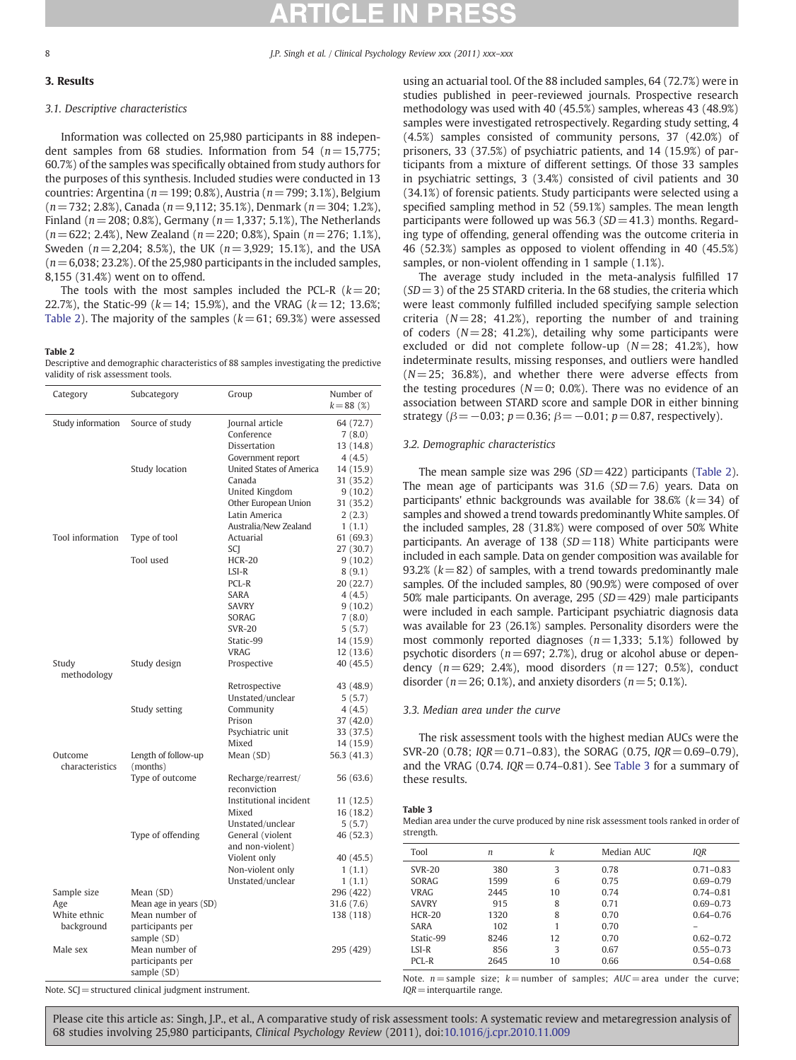# 3. Results

# 3.1. Descriptive characteristics

Information was collected on 25,980 participants in 88 independent samples from 68 studies. Information from 54 ( $n=$  15,775; 60.7%) of the samples was specifically obtained from study authors for the purposes of this synthesis. Included studies were conducted in 13 countries: Argentina ( $n = 199$ ; 0.8%), Austria ( $n = 799$ ; 3.1%), Belgium  $(n= 732; 2.8\%)$ , Canada  $(n= 9,112; 35.1\%)$ , Denmark  $(n= 304; 1.2\%)$ , Finland ( $n = 208$ ; 0.8%), Germany ( $n = 1,337$ ; 5.1%), The Netherlands  $(n= 622; 2.4\%)$ , New Zealand  $(n= 220; 0.8\%)$ , Spain  $(n= 276; 1.1\%)$ , Sweden ( $n = 2,204$ ; 8.5%), the UK ( $n = 3,929$ ; 15.1%), and the USA  $(n= 6,038; 23.2%)$ . Of the 25,980 participants in the included samples, 8,155 (31.4%) went on to offend.

The tools with the most samples included the PCL-R  $(k= 20;$ 22.7%), the Static-99 ( $k = 14$ ; 15.9%), and the VRAG ( $k = 12$ ; 13.6%; Table 2). The majority of the samples  $(k= 61; 69.3%)$  were assessed

# Table 2

Descriptive and demographic characteristics of 88 samples investigating the predictive validity of risk assessment tools.

| Category             | Subcategory                     | Group                    | Number of   |
|----------------------|---------------------------------|--------------------------|-------------|
|                      |                                 |                          | $k = 88(%)$ |
| Study information    | Source of study                 | Journal article          | 64 (72.7)   |
|                      |                                 | Conference               | 7(8.0)      |
|                      |                                 | Dissertation             | 13 (14.8)   |
|                      |                                 | Government report        | 4 (4.5)     |
|                      | Study location                  | United States of America | 14 (15.9)   |
|                      |                                 | Canada                   | 31 (35.2)   |
|                      |                                 | United Kingdom           | 9(10.2)     |
|                      |                                 | Other European Union     | 31 (35.2)   |
|                      |                                 | Latin America            | 2(2.3)      |
|                      |                                 | Australia/New Zealand    | 1(1.1)      |
| Tool information     | Type of tool                    | Actuarial                | 61 (69.3)   |
|                      |                                 | SCI                      | 27 (30.7)   |
|                      | Tool used                       | <b>HCR-20</b>            | 9(10.2)     |
|                      |                                 | $LSI-R$                  | 8(9.1)      |
|                      |                                 | PCL-R                    | 20(22.7)    |
|                      |                                 | SARA                     | 4(4.5)      |
|                      |                                 | SAVRY                    | 9(10.2)     |
|                      |                                 | SORAG                    | 7(8.0)      |
|                      |                                 | <b>SVR-20</b>            | 5(5.7)      |
|                      |                                 | Static-99                | 14 (15.9)   |
|                      |                                 | VRAG                     | 12 (13.6)   |
| Study<br>methodology | Study design                    | Prospective              | 40 (45.5)   |
|                      |                                 | Retrospective            | 43 (48.9)   |
|                      |                                 | Unstated/unclear         | 5(5.7)      |
|                      | Study setting                   | Community                | 4(4.5)      |
|                      |                                 | Prison                   | 37 (42.0)   |
|                      |                                 | Psychiatric unit         | 33 (37.5)   |
|                      |                                 | Mixed                    | 14 (15.9)   |
| Outcome              | Length of follow-up             | Mean (SD)                | 56.3 (41.3) |
| characteristics      | (months)                        |                          |             |
|                      | Type of outcome                 | Recharge/rearrest/       | 56 (63.6)   |
|                      |                                 | reconviction             |             |
|                      |                                 | Institutional incident   | 11 (12.5)   |
|                      |                                 | Mixed                    | 16 (18.2)   |
|                      |                                 | Unstated/unclear         | 5(5.7)      |
|                      | Type of offending               | General (violent         | 46 (52.3)   |
|                      |                                 | and non-violent)         |             |
|                      |                                 | Violent only             | 40 (45.5)   |
|                      |                                 | Non-violent only         | 1(1.1)      |
|                      |                                 | Unstated/unclear         | 1(1.1)      |
| Sample size          | Mean (SD)                       |                          | 296 (422)   |
| Age                  | Mean age in years (SD)          |                          | 31.6 (7.6)  |
| White ethnic         | Mean number of                  |                          | 138 (118)   |
| background           | participants per                |                          |             |
|                      | sample (SD)                     |                          |             |
| Male sex             | Mean number of                  |                          | 295 (429)   |
|                      | participants per<br>sample (SD) |                          |             |

using an actuarial tool. Of the 88 included samples, 64 (72.7%) were in studies published in peer-reviewed journals. Prospective research methodology was used with 40 (45.5%) samples, whereas 43 (48.9%) samples were investigated retrospectively. Regarding study setting, 4 (4.5%) samples consisted of community persons, 37 (42.0%) of prisoners, 33 (37.5%) of psychiatric patients, and 14 (15.9%) of participants from a mixture of different settings. Of those 33 samples in psychiatric settings, 3 (3.4%) consisted of civil patients and 30 (34.1%) of forensic patients. Study participants were selected using a specified sampling method in 52 (59.1%) samples. The mean length participants were followed up was 56.3 ( $SD = 41.3$ ) months. Regarding type of offending, general offending was the outcome criteria in 46 (52.3%) samples as opposed to violent offending in 40 (45.5%) samples, or non-violent offending in 1 sample (1.1%).

The average study included in the meta-analysis fulfilled 17  $(SD=3)$  of the 25 STARD criteria. In the 68 studies, the criteria which were least commonly fulfilled included specifying sample selection criteria  $(N= 28; 41.2%)$ , reporting the number of and training of coders  $(N= 28; 41.2%)$ , detailing why some participants were excluded or did not complete follow-up  $(N= 28; 41.2%)$ , how indeterminate results, missing responses, and outliers were handled  $(N= 25; 36.8\%)$ , and whether there were adverse effects from the testing procedures ( $N= 0$ ; 0.0%). There was no evidence of an association between STARD score and sample DOR in either binning strategy ( $\beta = -0.03$ ;  $p = 0.36$ ;  $\beta = -0.01$ ;  $p = 0.87$ , respectively).

# 3.2. Demographic characteristics

The mean sample size was  $296$  ( $SD=422$ ) participants (Table 2). The mean age of participants was  $31.6$  (SD=7.6) years. Data on participants' ethnic backgrounds was available for 38.6% ( $k=34$ ) of samples and showed a trend towards predominantly White samples. Of the included samples, 28 (31.8%) were composed of over 50% White participants. An average of 138 ( $SD=118$ ) White participants were included in each sample. Data on gender composition was available for 93.2%  $(k=82)$  of samples, with a trend towards predominantly male samples. Of the included samples, 80 (90.9%) were composed of over 50% male participants. On average, 295 ( $SD = 429$ ) male participants were included in each sample. Participant psychiatric diagnosis data was available for 23 (26.1%) samples. Personality disorders were the most commonly reported diagnoses  $(n=1,333; 5.1%)$  followed by psychotic disorders ( $n=697; 2.7%$ ), drug or alcohol abuse or dependency  $(n= 629; 2.4%)$ , mood disorders  $(n= 127; 0.5%)$ , conduct disorder ( $n=26$ ; 0.1%), and anxiety disorders ( $n=5$ ; 0.1%).

# 3.3. Median area under the curve

The risk assessment tools with the highest median AUCs were the SVR-20 (0.78;  $IQR = 0.71-0.83$ ), the SORAG (0.75,  $IQR = 0.69-0.79$ ), and the VRAG (0.74.  $IQR = 0.74-0.81$ ). See Table 3 for a summary of these results.

# Table 3

Median area under the curve produced by nine risk assessment tools ranked in order of strength.

| Tool         | $\boldsymbol{n}$ | k  | Median AUC | IOR           |
|--------------|------------------|----|------------|---------------|
| $SVR-20$     | 380              | 3  | 0.78       | $0.71 - 0.83$ |
| SORAG        | 1599             | 6  | 0.75       | $0.69 - 0.79$ |
| <b>VRAG</b>  | 2445             | 10 | 0.74       | $0.74 - 0.81$ |
| <b>SAVRY</b> | 915              | 8  | 0.71       | $0.69 - 0.73$ |
| $HCR-20$     | 1320             | 8  | 0.70       | $0.64 - 0.76$ |
| SARA         | 102              | 1  | 0.70       |               |
| Static-99    | 8246             | 12 | 0.70       | $0.62 - 0.72$ |
| $LSI-R$      | 856              | 3  | 0.67       | $0.55 - 0.73$ |
| PCL-R        | 2645             | 10 | 0.66       | $0.54 - 0.68$ |
|              |                  |    |            |               |

Note.  $n =$ sample size;  $k =$ number of samples;  $AUC =$ area under the curve;  $IOR =$ interquartile range.

Note.  $SC$  = structured clinical judgment instrument.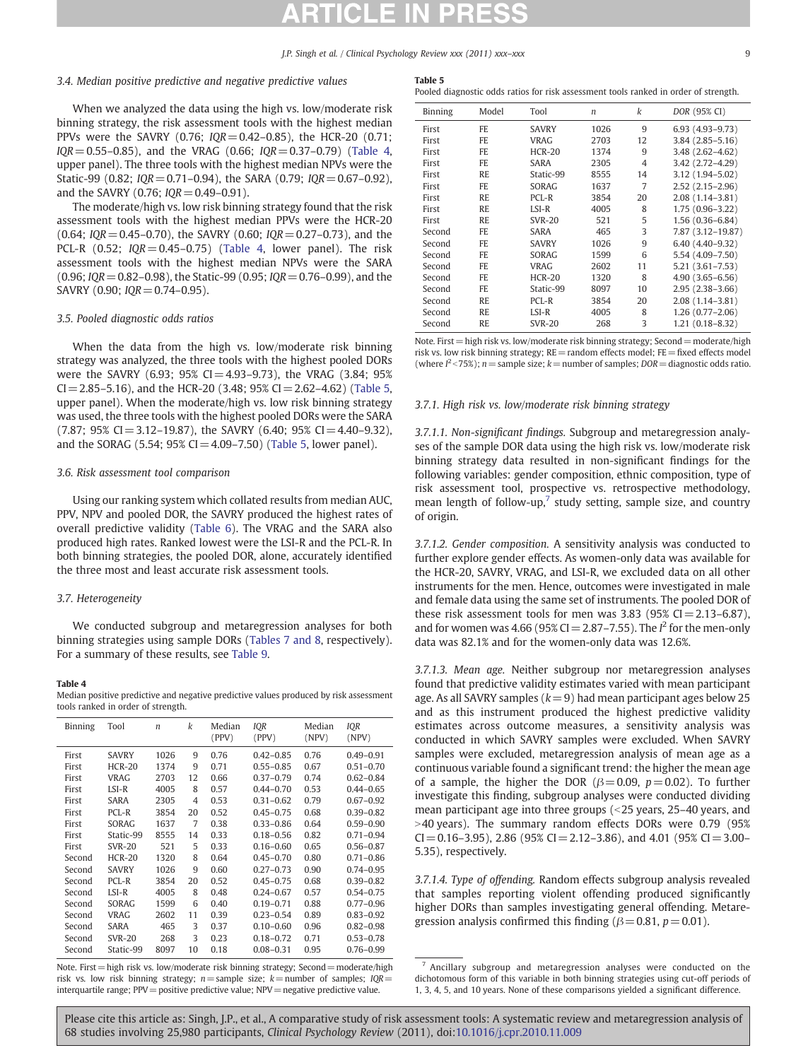# 3.4. Median positive predictive and negative predictive values

When we analyzed the data using the high vs. low/moderate risk binning strategy, the risk assessment tools with the highest median PPVs were the SAVRY (0.76;  $IQR = 0.42-0.85$ ), the HCR-20 (0.71;  $IQR = 0.55-0.85$ ), and the VRAG (0.66;  $IQR = 0.37-0.79$ ) (Table 4, upper panel). The three tools with the highest median NPVs were the Static-99 (0.82;  $IQR = 0.71-0.94$ ), the SARA (0.79;  $IQR = 0.67-0.92$ ), and the SAVRY (0.76;  $IQR = 0.49 - 0.91$ ).

The moderate/high vs. low risk binning strategy found that the risk assessment tools with the highest median PPVs were the HCR-20  $(0.64; IQR = 0.45-0.70)$ , the SAVRY  $(0.60; IQR = 0.27-0.73)$ , and the PCL-R (0.52;  $IQR = 0.45 - 0.75$ ) (Table 4, lower panel). The risk assessment tools with the highest median NPVs were the SARA  $(0.96; IQR = 0.82-0.98)$ , the Static-99  $(0.95; IQR = 0.76-0.99)$ , and the SAVRY (0.90;  $IQR = 0.74 - 0.95$ ).

# 3.5. Pooled diagnostic odds ratios

When the data from the high vs. low/moderate risk binning strategy was analyzed, the three tools with the highest pooled DORs were the SAVRY (6.93; 95% CI = 4.93–9.73), the VRAG (3.84; 95%  $CI = 2.85-5.16$ ), and the HCR-20 (3.48; 95%  $CI = 2.62-4.62$ ) (Table 5, upper panel). When the moderate/high vs. low risk binning strategy was used, the three tools with the highest pooled DORs were the SARA  $(7.87; 95\% \text{ CI} = 3.12 - 19.87)$ , the SAVRY  $(6.40; 95\% \text{ CI} = 4.40 - 9.32)$ , and the SORAG (5.54;  $95\%$  CI = 4.09–7.50) (Table 5, lower panel).

# 3.6. Risk assessment tool comparison

Using our ranking system which collated results from median AUC, PPV, NPV and pooled DOR, the SAVRY produced the highest rates of overall predictive validity ([Table 6](#page-9-0)). The VRAG and the SARA also produced high rates. Ranked lowest were the LSI-R and the PCL-R. In both binning strategies, the pooled DOR, alone, accurately identified the three most and least accurate risk assessment tools.

# 3.7. Heterogeneity

We conducted subgroup and metaregression analyses for both binning strategies using sample DORs ([Tables 7 and 8](#page-9-0), respectively). For a summary of these results, see [Table 9](#page-10-0).

### Table 4

Median positive predictive and negative predictive values produced by risk assessment tools ranked in order of strength.

| <b>Binning</b> | Tool         | $\boldsymbol{n}$ | k              | Median<br>(PPV) | IOR<br>(PPV)  | Median<br>(NPV) | IOR<br>(NPV)  |
|----------------|--------------|------------------|----------------|-----------------|---------------|-----------------|---------------|
| First          | <b>SAVRY</b> | 1026             | 9              | 0.76            | $0.42 - 0.85$ | 0.76            | $0.49 - 0.91$ |
| First          | $HCR-20$     | 1374             | 9              | 0.71            | $0.55 - 0.85$ | 0.67            | $0.51 - 0.70$ |
| First          | <b>VRAG</b>  | 2703             | 12             | 0.66            | $0.37 - 0.79$ | 0.74            | $0.62 - 0.84$ |
| First          | $LSI-R$      | 4005             | 8              | 0.57            | $0.44 - 0.70$ | 0.53            | $0.44 - 0.65$ |
| First          | SARA         | 2305             | $\overline{4}$ | 0.53            | $0.31 - 0.62$ | 0.79            | $0.67 - 0.92$ |
| First          | $PCI - R$    | 3854             | 20             | 0.52            | $0.45 - 0.75$ | 0.68            | $0.39 - 0.82$ |
| First          | SORAG        | 1637             | 7              | 0.38            | $0.33 - 0.86$ | 0.64            | $0.59 - 0.90$ |
| First          | Static-99    | 8555             | 14             | 0.33            | $0.18 - 0.56$ | 0.82            | $0.71 - 0.94$ |
| First          | $SVR-20$     | 521              | 5              | 0.33            | $0.16 - 0.60$ | 0.65            | $0.56 - 0.87$ |
| Second         | $HCR-20$     | 1320             | 8              | 0.64            | $0.45 - 0.70$ | 0.80            | $0.71 - 0.86$ |
| Second         | <b>SAVRY</b> | 1026             | 9              | 0.60            | $0.27 - 0.73$ | 0.90            | $0.74 - 0.95$ |
| Second         | PCL-R        | 3854             | 20             | 0.52            | $0.45 - 0.75$ | 0.68            | $0.39 - 0.82$ |
| Second         | $LSI-R$      | 4005             | 8              | 0.48            | $0.24 - 0.67$ | 0.57            | $0.54 - 0.75$ |
| Second         | SORAG        | 1599             | 6              | 0.40            | $0.19 - 0.71$ | 0.88            | $0.77 - 0.96$ |
| Second         | <b>VRAG</b>  | 2602             | 11             | 0.39            | $0.23 - 0.54$ | 0.89            | $0.83 - 0.92$ |
| Second         | SARA         | 465              | 3              | 0.37            | $0.10 - 0.60$ | 0.96            | $0.82 - 0.98$ |
| Second         | $SVR-20$     | 268              | 3              | 0.23            | $0.18 - 0.72$ | 0.71            | $0.53 - 0.78$ |
| Second         | Static-99    | 8097             | 10             | 0.18            | $0.08 - 0.31$ | 0.95            | $0.76 - 0.99$ |

Note. First = high risk vs. low/moderate risk binning strategy; Second = moderate/high risk vs. low risk binning strategy;  $n=$  sample size;  $k=$  number of samples;  $IQR=$ interquartile range;  $PPV =$  positive predictive value;  $NPV =$  negative predictive value.

Table 5 Pooled diagnostic odds ratios for risk assessment tools ranked in order of strength.

| <b>Binning</b> | Model     | Tool          | n    | k              | DOR (95% CI)        |
|----------------|-----------|---------------|------|----------------|---------------------|
| First          | FE.       | <b>SAVRY</b>  | 1026 | 9              | $6.93(4.93-9.73)$   |
| First          | FE.       | VRAG          | 2703 | 12             | $3.84(2.85 - 5.16)$ |
| First          | FE        | $HCR-20$      | 1374 | 9              | 3.48 (2.62-4.62)    |
| First          | FE.       | SARA          | 2305 | $\overline{4}$ | 3.42 (2.72-4.29)    |
| First          | <b>RE</b> | Static-99     | 8555 | 14             | 3.12 (1.94-5.02)    |
| First          | FE.       | SORAG         | 1637 | $\overline{7}$ | $2.52(2.15-2.96)$   |
| First          | <b>RE</b> | PCL-R         | 3854 | 20             | $2.08(1.14-3.81)$   |
| First          | RE.       | LSI-R         | 4005 | 8              | 1.75 (0.96-3.22)    |
| First          | <b>RE</b> | $SVR-20$      | 521  | 5              | 1.56 (0.36-6.84)    |
| Second         | FE.       | SARA          | 465  | 3              | 7.87 (3.12-19.87)   |
| Second         | FE.       | <b>SAVRY</b>  | 1026 | 9              | $6.40(4.40-9.32)$   |
| Second         | FE.       | SORAG         | 1599 | 6              | 5.54 (4.09-7.50)    |
| Second         | FE.       | <b>VRAG</b>   | 2602 | 11             | $5.21(3.61 - 7.53)$ |
| Second         | FE.       | $HCR-20$      | 1320 | 8              | $4.90(3.65 - 6.56)$ |
| Second         | FE.       | Static-99     | 8097 | 10             | $2.95(2.38-3.66)$   |
| Second         | RE        | PCL-R         | 3854 | 20             | 2.08 (1.14-3.81)    |
| Second         | RE.       | LSI-R         | 4005 | 8              | $1.26(0.77-2.06)$   |
| Second         | RE        | <b>SVR-20</b> | 268  | 3              | $1.21(0.18 - 8.32)$ |

Note. First = high risk vs. low/moderate risk binning strategy; Second = moderate/high risk vs. low risk binning strategy;  $RE =$  random effects model;  $FE =$  fixed effects model (where  $I^2$  < 75%); n = sample size; k = number of samples; DOR = diagnostic odds ratio.

# 3.7.1. High risk vs. low/moderate risk binning strategy

3.7.1.1. Non-significant findings. Subgroup and metaregression analyses of the sample DOR data using the high risk vs. low/moderate risk binning strategy data resulted in non-significant findings for the following variables: gender composition, ethnic composition, type of risk assessment tool, prospective vs. retrospective methodology, mean length of follow-up, $7$  study setting, sample size, and country of origin.

3.7.1.2. Gender composition. A sensitivity analysis was conducted to further explore gender effects. As women-only data was available for the HCR-20, SAVRY, VRAG, and LSI-R, we excluded data on all other instruments for the men. Hence, outcomes were investigated in male and female data using the same set of instruments. The pooled DOR of these risk assessment tools for men was  $3.83$  (95% CI = 2.13–6.87), and for women was 4.66 (95% CI = 2.87-7.55). The  $I^2$  for the men-only data was 82.1% and for the women-only data was 12.6%.

3.7.1.3. Mean age. Neither subgroup nor metaregression analyses found that predictive validity estimates varied with mean participant age. As all SAVRY samples ( $k = 9$ ) had mean participant ages below 25 and as this instrument produced the highest predictive validity estimates across outcome measures, a sensitivity analysis was conducted in which SAVRY samples were excluded. When SAVRY samples were excluded, metaregression analysis of mean age as a continuous variable found a significant trend: the higher the mean age of a sample, the higher the DOR ( $\beta$ = 0.09, p= 0.02). To further investigate this finding, subgroup analyses were conducted dividing mean participant age into three groups (<25 years, 25–40 years, and  $>$ 40 years). The summary random effects DORs were 0.79 (95%)  $CI = 0.16 - 3.95$ ), 2.86 (95%  $CI = 2.12 - 3.86$ ), and 4.01 (95%  $CI = 3.00 - 3.95$ ) 5.35), respectively.

3.7.1.4. Type of offending. Random effects subgroup analysis revealed that samples reporting violent offending produced significantly higher DORs than samples investigating general offending. Metaregression analysis confirmed this finding ( $\beta$  = 0.81, p = 0.01).

<sup>7</sup> Ancillary subgroup and metaregression analyses were conducted on the dichotomous form of this variable in both binning strategies using cut-off periods of 1, 3, 4, 5, and 10 years. None of these comparisons yielded a significant difference.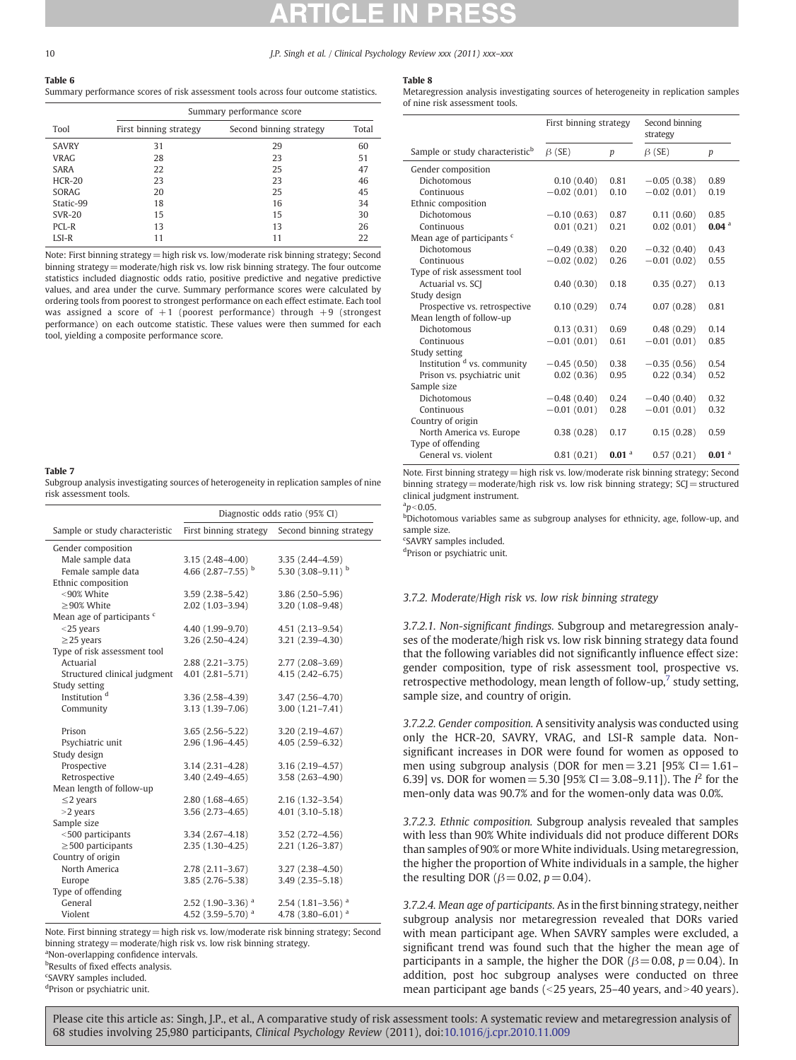| Table 6                                                                             |
|-------------------------------------------------------------------------------------|
| Summary performance scores of risk assessment tools across four outcome statistics. |

### Table 8

Metaregression analysis investigating sources of heterogeneity in replication samples of nine risk assessment tools.

First binning strategy Second binning

|               | Summary performance score |                         |       |  |  |  |
|---------------|---------------------------|-------------------------|-------|--|--|--|
| Tool          | First binning strategy    | Second binning strategy | Total |  |  |  |
| <b>SAVRY</b>  | 31                        | 29                      | 60    |  |  |  |
| VRAG          | 28                        | 23                      | 51    |  |  |  |
| SARA          | 22                        | 25                      | 47    |  |  |  |
| $HCR-20$      | 23                        | 23                      | 46    |  |  |  |
| SORAG         | 20                        | 25                      | 45    |  |  |  |
| Static-99     | 18                        | 16                      | 34    |  |  |  |
| <b>SVR-20</b> | 15                        | 15                      | 30    |  |  |  |
| PCL-R         | 13                        | 13                      | 26    |  |  |  |
| LSI-R         | 11                        | 11                      | 22    |  |  |  |

Note: First binning strategy=high risk vs. low/moderate risk binning strategy; Second binning strategy=moderate/high risk vs. low risk binning strategy. The four outcome statistics included diagnostic odds ratio, positive predictive and negative predictive values, and area under the curve. Summary performance scores were calculated by ordering tools from poorest to strongest performance on each effect estimate. Each tool was assigned a score of  $+1$  (poorest performance) through  $+9$  (strongest performance) on each outcome statistic. These values were then summed for each tool, yielding a composite performance score.

# Table 7

Subgroup analysis investigating sources of heterogeneity in replication samples of nine risk assessment tools.

|                                       | Diagnostic odds ratio (95% CI)  |                               |  |  |
|---------------------------------------|---------------------------------|-------------------------------|--|--|
| Sample or study characteristic        | First binning strategy          | Second binning strategy       |  |  |
| Gender composition                    |                                 |                               |  |  |
| Male sample data                      | $3.15(2.48 - 4.00)$             | $3.35(2.44 - 4.59)$           |  |  |
| Female sample data                    | 4.66 $(2.87 - 7.55)^{b}$        | 5.30 $(3.08-9.11)^{b}$        |  |  |
| Ethnic composition                    |                                 |                               |  |  |
| <90% White                            | $3.59(2.38 - 5.42)$             | $3.86(2.50-5.96)$             |  |  |
| $\geq$ 90% White                      | $2.02(1.03-3.94)$               | $3.20(1.08 - 9.48)$           |  |  |
| Mean age of participants <sup>c</sup> |                                 |                               |  |  |
| $<$ 25 years                          | 4.40 (1.99-9.70)                | $4.51(2.13-9.54)$             |  |  |
| $\geq$ 25 years                       | $3.26(2.50-4.24)$               | 3.21 (2.39-4.30)              |  |  |
| Type of risk assessment tool          |                                 |                               |  |  |
| Actuarial                             | $2.88(2.21-3.75)$               | $2.77(2.08-3.69)$             |  |  |
| Structured clinical judgment          | $4.01(2.81 - 5.71)$             | $4.15(2.42 - 6.75)$           |  |  |
| Study setting                         |                                 |                               |  |  |
| Institution <sup>d</sup>              | $3.36(2.58 - 4.39)$             | 3.47 (2.56-4.70)              |  |  |
| Community                             | $3.13(1.39 - 7.06)$             | $3.00(1.21 - 7.41)$           |  |  |
| Prison                                | $3.65(2.56-5.22)$               | $3.20(2.19-4.67)$             |  |  |
| Psychiatric unit                      | $2.96(1.96-4.45)$               | $4.05(2.59-6.32)$             |  |  |
| Study design                          |                                 |                               |  |  |
| Prospective                           | $3.14(2.31-4.28)$               | $3.16(2.19-4.57)$             |  |  |
| Retrospective                         | $3.40(2.49-4.65)$               | $3.58(2.63 - 4.90)$           |  |  |
| Mean length of follow-up              |                                 |                               |  |  |
| $\leq$ 2 years                        | $2.80(1.68-4.65)$               | $2.16(1.32 - 3.54)$           |  |  |
| $>2$ years                            | $3.56(2.73 - 4.65)$             | $4.01(3.10-5.18)$             |  |  |
| Sample size                           |                                 |                               |  |  |
| $<$ 500 participants                  | $3.34(2.67-4.18)$               | 3.52 (2.72-4.56)              |  |  |
| $\geq$ 500 participants               | $2.35(1.30-4.25)$               | $2.21(1.26-3.87)$             |  |  |
| Country of origin                     |                                 |                               |  |  |
| North America                         | $2.78(2.11-3.67)$               | 3.27 (2.38-4.50)              |  |  |
| Europe                                | $3.85(2.76-5.38)$               | $3.49(2.35 - 5.18)$           |  |  |
| Type of offending                     |                                 |                               |  |  |
| General                               | 2.52 $(1.90-3.36)$ <sup>a</sup> | 2.54 (1.81-3.56) <sup>a</sup> |  |  |
| Violent                               | 4.52 (3.59-5.70) <sup>a</sup>   | 4.78 (3.80-6.01) <sup>a</sup> |  |  |
|                                       |                                 |                               |  |  |

Note. First binning strategy = high risk vs. low/moderate risk binning strategy; Second binning strategy=moderate/high risk vs. low risk binning strategy. <sup>a</sup>Non-overlapping confidence intervals.

**bResults of fixed effects analysis.** 

c SAVRY samples included.

<sup>d</sup>Prison or psychiatric unit.

|                                             |               |                   | strategy      |                     |
|---------------------------------------------|---------------|-------------------|---------------|---------------------|
| Sample or study characteristic <sup>b</sup> | $\beta$ (SE)  | p                 | $\beta$ (SE)  | p                   |
| Gender composition                          |               |                   |               |                     |
| Dichotomous                                 | 0.10(0.40)    | 0.81              | $-0.05(0.38)$ | 0.89                |
| Continuous                                  | $-0.02(0.01)$ | 0.10              | $-0.02(0.01)$ | 0.19                |
| Ethnic composition                          |               |                   |               |                     |
| Dichotomous                                 | $-0.10(0.63)$ | 0.87              | 0.11(0.60)    | 0.85                |
| Continuous                                  | 0.01(0.21)    | 0.21              | 0.02(0.01)    | $0.04$ <sup>a</sup> |
| Mean age of participants c                  |               |                   |               |                     |
| Dichotomous                                 | $-0.49(0.38)$ | 0.20              | $-0.32(0.40)$ | 0.43                |
| Continuous                                  | $-0.02(0.02)$ | 0.26              | $-0.01(0.02)$ | 0.55                |
| Type of risk assessment tool                |               |                   |               |                     |
| Actuarial vs. SCJ                           | 0.40(0.30)    | 0.18              | 0.35(0.27)    | 0.13                |
| Study design                                |               |                   |               |                     |
| Prospective vs. retrospective               | 0.10(0.29)    | 0.74              | 0.07(0.28)    | 0.81                |
| Mean length of follow-up                    |               |                   |               |                     |
| Dichotomous                                 | 0.13(0.31)    | 0.69              | 0.48(0.29)    | 0.14                |
| Continuous                                  | $-0.01(0.01)$ | 0.61              | $-0.01(0.01)$ | 0.85                |
| Study setting                               |               |                   |               |                     |
| Institution <sup>d</sup> vs. community      | $-0.45(0.50)$ | 0.38              | $-0.35(0.56)$ | 0.54                |
| Prison vs. psychiatric unit                 | 0.02(0.36)    | 0.95              | 0.22(0.34)    | 0.52                |
| Sample size                                 |               |                   |               |                     |
| Dichotomous                                 | $-0.48(0.40)$ | 0.24              | $-0.40(0.40)$ | 0.32                |
| Continuous                                  | $-0.01(0.01)$ | 0.28              | $-0.01(0.01)$ | 0.32                |
| Country of origin                           |               |                   |               |                     |
| North America vs. Europe                    | 0.38(0.28)    | 0.17              | 0.15(0.28)    | 0.59                |
| Type of offending                           |               |                   |               |                     |
| General vs. violent                         | 0.81(0.21)    | 0.01 <sup>a</sup> | 0.57(0.21)    | $0.01$ <sup>a</sup> |

Note. First binning strategy = high risk vs. low/moderate risk binning strategy; Second binning strategy = moderate/high risk vs. low risk binning strategy;  $SCI$  = structured clinical judgment instrument.

 $a$ <sup>a</sup> $p$ <0.05. bDichotomous variables same as subgroup analyses for ethnicity, age, follow-up, and sample size.

c SAVRY samples included.

d Prison or psychiatric unit.

# 3.7.2. Moderate/High risk vs. low risk binning strategy

3.7.2.1. Non-significant findings. Subgroup and metaregression analyses of the moderate/high risk vs. low risk binning strategy data found that the following variables did not significantly influence effect size: gender composition, type of risk assessment tool, prospective vs. retrospective methodology, mean length of follow-up, $\frac{7}{7}$  study setting, sample size, and country of origin.

3.7.2.2. Gender composition. A sensitivity analysis was conducted using only the HCR-20, SAVRY, VRAG, and LSI-R sample data. Nonsignificant increases in DOR were found for women as opposed to men using subgroup analysis (DOR for men =  $3.21$  [95% CI =  $1.61-$ 6.39] vs. DOR for women = 5.30 [95% CI = 3.08-9.11]). The  $I^2$  for the men-only data was 90.7% and for the women-only data was 0.0%.

3.7.2.3. Ethnic composition. Subgroup analysis revealed that samples with less than 90% White individuals did not produce different DORs than samples of 90% or more White individuals. Using metaregression, the higher the proportion of White individuals in a sample, the higher the resulting DOR ( $\beta$ = 0.02,  $p$  = 0.04).

3.7.2.4. Mean age of participants. As in the first binning strategy, neither subgroup analysis nor metaregression revealed that DORs varied with mean participant age. When SAVRY samples were excluded, a significant trend was found such that the higher the mean age of participants in a sample, the higher the DOR ( $\beta$  = 0.08, p = 0.04). In addition, post hoc subgroup analyses were conducted on three mean participant age bands  $\left( < 25$  years, 25–40 years, and  $>$ 40 years).

<span id="page-9-0"></span>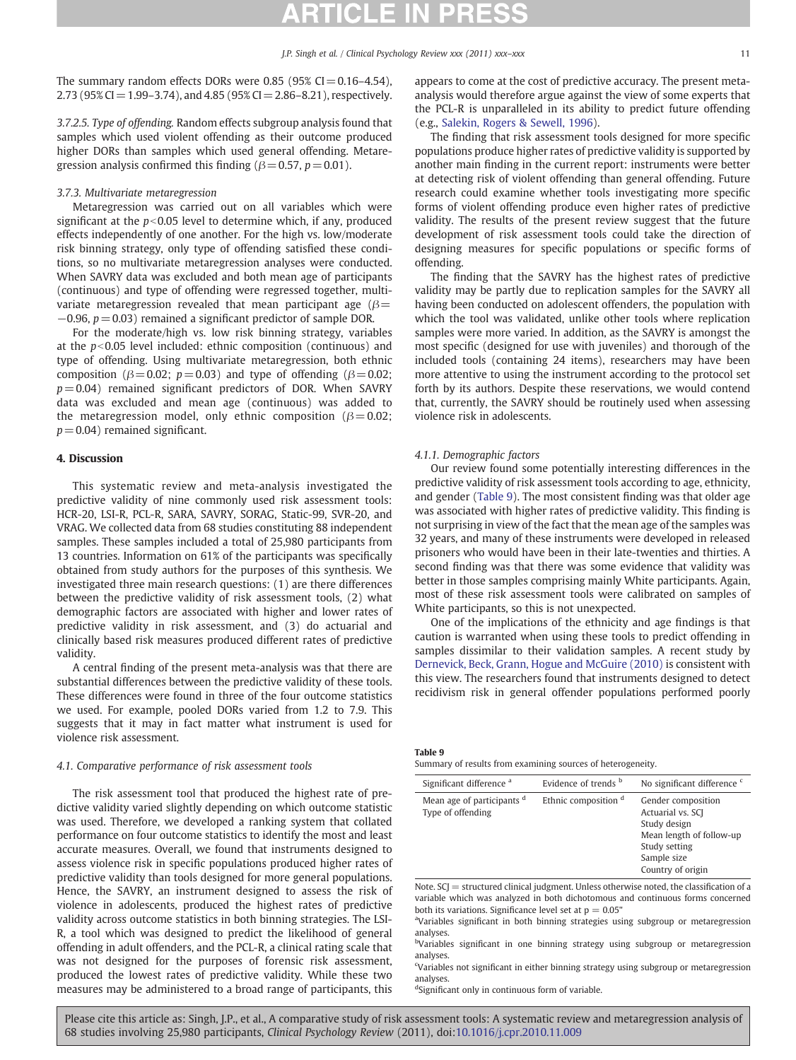<span id="page-10-0"></span>The summary random effects DORs were 0.85 (95% CI =  $0.16-4.54$ ), 2.73 (95% CI = 1.99–3.74), and 4.85 (95% CI = 2.86–8.21), respectively.

3.7.2.5. Type of offending. Random effects subgroup analysis found that samples which used violent offending as their outcome produced higher DORs than samples which used general offending. Metaregression analysis confirmed this finding ( $\beta$  = 0.57, p = 0.01).

# 3.7.3. Multivariate metaregression

Metaregression was carried out on all variables which were significant at the  $p<0.05$  level to determine which, if any, produced effects independently of one another. For the high vs. low/moderate risk binning strategy, only type of offending satisfied these conditions, so no multivariate metaregression analyses were conducted. When SAVRY data was excluded and both mean age of participants (continuous) and type of offending were regressed together, multivariate metaregression revealed that mean participant age ( $\beta$ =  $-0.96$ ,  $p = 0.03$ ) remained a significant predictor of sample DOR.

For the moderate/high vs. low risk binning strategy, variables at the  $p<0.05$  level included: ethnic composition (continuous) and type of offending. Using multivariate metaregression, both ethnic composition ( $\beta$ = 0.02; p= 0.03) and type of offending ( $\beta$ = 0.02;  $p = 0.04$ ) remained significant predictors of DOR. When SAVRY data was excluded and mean age (continuous) was added to the metaregression model, only ethnic composition ( $\beta = 0.02$ ;  $p = 0.04$ ) remained significant.

## 4. Discussion

This systematic review and meta-analysis investigated the predictive validity of nine commonly used risk assessment tools: HCR-20, LSI-R, PCL-R, SARA, SAVRY, SORAG, Static-99, SVR-20, and VRAG. We collected data from 68 studies constituting 88 independent samples. These samples included a total of 25,980 participants from 13 countries. Information on 61% of the participants was specifically obtained from study authors for the purposes of this synthesis. We investigated three main research questions: (1) are there differences between the predictive validity of risk assessment tools, (2) what demographic factors are associated with higher and lower rates of predictive validity in risk assessment, and (3) do actuarial and clinically based risk measures produced different rates of predictive validity.

A central finding of the present meta-analysis was that there are substantial differences between the predictive validity of these tools. These differences were found in three of the four outcome statistics we used. For example, pooled DORs varied from 1.2 to 7.9. This suggests that it may in fact matter what instrument is used for violence risk assessment.

# 4.1. Comparative performance of risk assessment tools

The risk assessment tool that produced the highest rate of predictive validity varied slightly depending on which outcome statistic was used. Therefore, we developed a ranking system that collated performance on four outcome statistics to identify the most and least accurate measures. Overall, we found that instruments designed to assess violence risk in specific populations produced higher rates of predictive validity than tools designed for more general populations. Hence, the SAVRY, an instrument designed to assess the risk of violence in adolescents, produced the highest rates of predictive validity across outcome statistics in both binning strategies. The LSI-R, a tool which was designed to predict the likelihood of general offending in adult offenders, and the PCL-R, a clinical rating scale that was not designed for the purposes of forensic risk assessment, produced the lowest rates of predictive validity. While these two measures may be administered to a broad range of participants, this

appears to come at the cost of predictive accuracy. The present metaanalysis would therefore argue against the view of some experts that the PCL-R is unparalleled in its ability to predict future offending (e.g., [Salekin, Rogers & Sewell, 1996\)](#page-13-0).

The finding that risk assessment tools designed for more specific populations produce higher rates of predictive validity is supported by another main finding in the current report: instruments were better at detecting risk of violent offending than general offending. Future research could examine whether tools investigating more specific forms of violent offending produce even higher rates of predictive validity. The results of the present review suggest that the future development of risk assessment tools could take the direction of designing measures for specific populations or specific forms of offending.

The finding that the SAVRY has the highest rates of predictive validity may be partly due to replication samples for the SAVRY all having been conducted on adolescent offenders, the population with which the tool was validated, unlike other tools where replication samples were more varied. In addition, as the SAVRY is amongst the most specific (designed for use with juveniles) and thorough of the included tools (containing 24 items), researchers may have been more attentive to using the instrument according to the protocol set forth by its authors. Despite these reservations, we would contend that, currently, the SAVRY should be routinely used when assessing violence risk in adolescents.

### 4.1.1. Demographic factors

Our review found some potentially interesting differences in the predictive validity of risk assessment tools according to age, ethnicity, and gender (Table 9). The most consistent finding was that older age was associated with higher rates of predictive validity. This finding is not surprising in view of the fact that the mean age of the samples was 32 years, and many of these instruments were developed in released prisoners who would have been in their late-twenties and thirties. A second finding was that there was some evidence that validity was better in those samples comprising mainly White participants. Again, most of these risk assessment tools were calibrated on samples of White participants, so this is not unexpected.

One of the implications of the ethnicity and age findings is that caution is warranted when using these tools to predict offending in samples dissimilar to their validation samples. A recent study by [Dernevick, Beck, Grann, Hogue and McGuire \(2010\)](#page-12-0) is consistent with this view. The researchers found that instruments designed to detect recidivism risk in general offender populations performed poorly

| Table 9 |  |                                                             |
|---------|--|-------------------------------------------------------------|
|         |  | Summary of results from examining sources of heterogeneity. |

| Significant difference <sup>a</sup>             | Evidence of trends b | No significant difference c                                                                                                              |
|-------------------------------------------------|----------------------|------------------------------------------------------------------------------------------------------------------------------------------|
| Mean age of participants d<br>Type of offending | Ethnic composition d | Gender composition<br>Actuarial vs. SCI<br>Study design<br>Mean length of follow-up<br>Study setting<br>Sample size<br>Country of origin |

Note. SCJ = structured clinical judgment. Unless otherwise noted, the classification of a variable which was analyzed in both dichotomous and continuous forms concerned both its variations. Significance level set at  $p = 0.05$ "

<sup>a</sup>Variables significant in both binning strategies using subgroup or metaregression analyses.

<sup>b</sup>Variables significant in one binning strategy using subgroup or metaregression analyses.

<sup>c</sup>Variables not significant in either binning strategy using subgroup or metaregression analyses.

dSignificant only in continuous form of variable.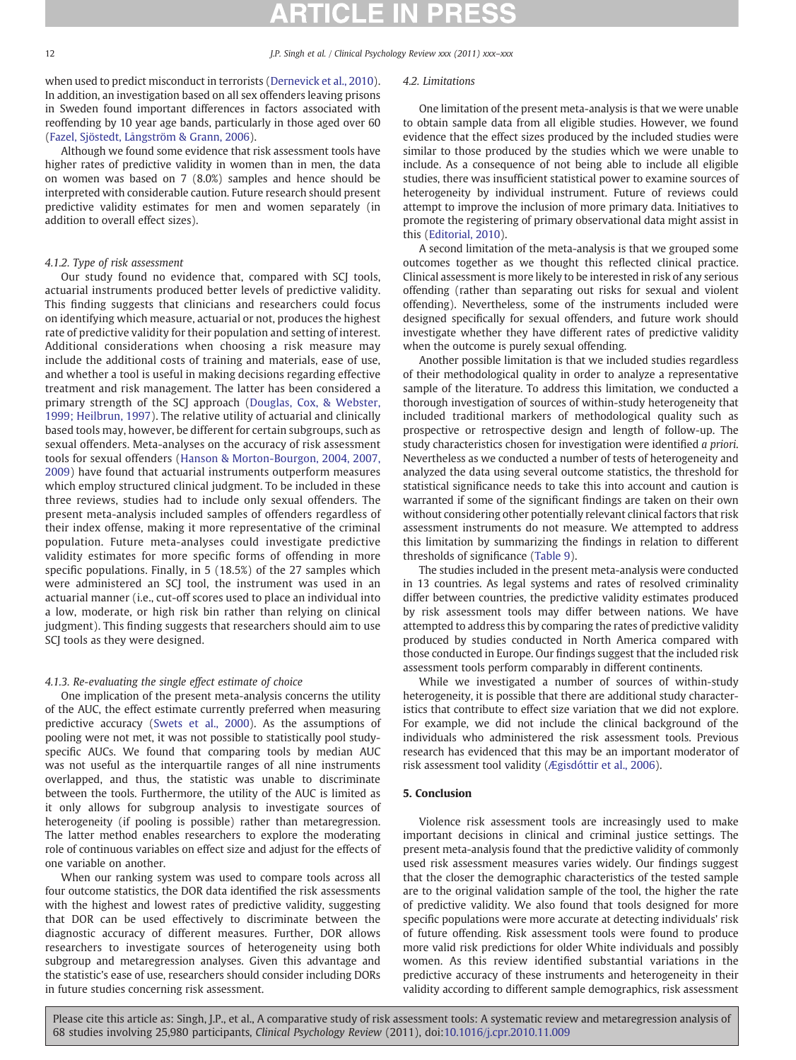when used to predict misconduct in terrorists [\(Dernevick et al., 2010](#page-12-0)). In addition, an investigation based on all sex offenders leaving prisons in Sweden found important differences in factors associated with reoffending by 10 year age bands, particularly in those aged over 60 [\(Fazel, Sjöstedt, Långström & Grann, 2006\)](#page-12-0).

Although we found some evidence that risk assessment tools have higher rates of predictive validity in women than in men, the data on women was based on 7 (8.0%) samples and hence should be interpreted with considerable caution. Future research should present predictive validity estimates for men and women separately (in addition to overall effect sizes).

# 4.1.2. Type of risk assessment

Our study found no evidence that, compared with SCJ tools, actuarial instruments produced better levels of predictive validity. This finding suggests that clinicians and researchers could focus on identifying which measure, actuarial or not, produces the highest rate of predictive validity for their population and setting of interest. Additional considerations when choosing a risk measure may include the additional costs of training and materials, ease of use, and whether a tool is useful in making decisions regarding effective treatment and risk management. The latter has been considered a primary strength of the SCJ approach ([Douglas, Cox, & Webster,](#page-12-0) [1999; Heilbrun, 1997\)](#page-12-0). The relative utility of actuarial and clinically based tools may, however, be different for certain subgroups, such as sexual offenders. Meta-analyses on the accuracy of risk assessment tools for sexual offenders [\(Hanson & Morton-Bourgon, 2004, 2007,](#page-12-0) [2009](#page-12-0)) have found that actuarial instruments outperform measures which employ structured clinical judgment. To be included in these three reviews, studies had to include only sexual offenders. The present meta-analysis included samples of offenders regardless of their index offense, making it more representative of the criminal population. Future meta-analyses could investigate predictive validity estimates for more specific forms of offending in more specific populations. Finally, in 5 (18.5%) of the 27 samples which were administered an SCJ tool, the instrument was used in an actuarial manner (i.e., cut-off scores used to place an individual into a low, moderate, or high risk bin rather than relying on clinical judgment). This finding suggests that researchers should aim to use SCJ tools as they were designed.

# 4.1.3. Re-evaluating the single effect estimate of choice

One implication of the present meta-analysis concerns the utility of the AUC, the effect estimate currently preferred when measuring predictive accuracy [\(Swets et al., 2000\)](#page-13-0). As the assumptions of pooling were not met, it was not possible to statistically pool studyspecific AUCs. We found that comparing tools by median AUC was not useful as the interquartile ranges of all nine instruments overlapped, and thus, the statistic was unable to discriminate between the tools. Furthermore, the utility of the AUC is limited as it only allows for subgroup analysis to investigate sources of heterogeneity (if pooling is possible) rather than metaregression. The latter method enables researchers to explore the moderating role of continuous variables on effect size and adjust for the effects of one variable on another.

When our ranking system was used to compare tools across all four outcome statistics, the DOR data identified the risk assessments with the highest and lowest rates of predictive validity, suggesting that DOR can be used effectively to discriminate between the diagnostic accuracy of different measures. Further, DOR allows researchers to investigate sources of heterogeneity using both subgroup and metaregression analyses. Given this advantage and the statistic's ease of use, researchers should consider including DORs in future studies concerning risk assessment.

# 4.2. Limitations

One limitation of the present meta-analysis is that we were unable to obtain sample data from all eligible studies. However, we found evidence that the effect sizes produced by the included studies were similar to those produced by the studies which we were unable to include. As a consequence of not being able to include all eligible studies, there was insufficient statistical power to examine sources of heterogeneity by individual instrument. Future of reviews could attempt to improve the inclusion of more primary data. Initiatives to promote the registering of primary observational data might assist in this [\(Editorial, 2010](#page-12-0)).

A second limitation of the meta-analysis is that we grouped some outcomes together as we thought this reflected clinical practice. Clinical assessment is more likely to be interested in risk of any serious offending (rather than separating out risks for sexual and violent offending). Nevertheless, some of the instruments included were designed specifically for sexual offenders, and future work should investigate whether they have different rates of predictive validity when the outcome is purely sexual offending.

Another possible limitation is that we included studies regardless of their methodological quality in order to analyze a representative sample of the literature. To address this limitation, we conducted a thorough investigation of sources of within-study heterogeneity that included traditional markers of methodological quality such as prospective or retrospective design and length of follow-up. The study characteristics chosen for investigation were identified a priori. Nevertheless as we conducted a number of tests of heterogeneity and analyzed the data using several outcome statistics, the threshold for statistical significance needs to take this into account and caution is warranted if some of the significant findings are taken on their own without considering other potentially relevant clinical factors that risk assessment instruments do not measure. We attempted to address this limitation by summarizing the findings in relation to different thresholds of significance [\(Table 9\)](#page-10-0).

The studies included in the present meta-analysis were conducted in 13 countries. As legal systems and rates of resolved criminality differ between countries, the predictive validity estimates produced by risk assessment tools may differ between nations. We have attempted to address this by comparing the rates of predictive validity produced by studies conducted in North America compared with those conducted in Europe. Our findings suggest that the included risk assessment tools perform comparably in different continents.

While we investigated a number of sources of within-study heterogeneity, it is possible that there are additional study characteristics that contribute to effect size variation that we did not explore. For example, we did not include the clinical background of the individuals who administered the risk assessment tools. Previous research has evidenced that this may be an important moderator of risk assessment tool validity ([Ægisdóttir et al., 2006](#page-12-0)).

# 5. Conclusion

Violence risk assessment tools are increasingly used to make important decisions in clinical and criminal justice settings. The present meta-analysis found that the predictive validity of commonly used risk assessment measures varies widely. Our findings suggest that the closer the demographic characteristics of the tested sample are to the original validation sample of the tool, the higher the rate of predictive validity. We also found that tools designed for more specific populations were more accurate at detecting individuals' risk of future offending. Risk assessment tools were found to produce more valid risk predictions for older White individuals and possibly women. As this review identified substantial variations in the predictive accuracy of these instruments and heterogeneity in their validity according to different sample demographics, risk assessment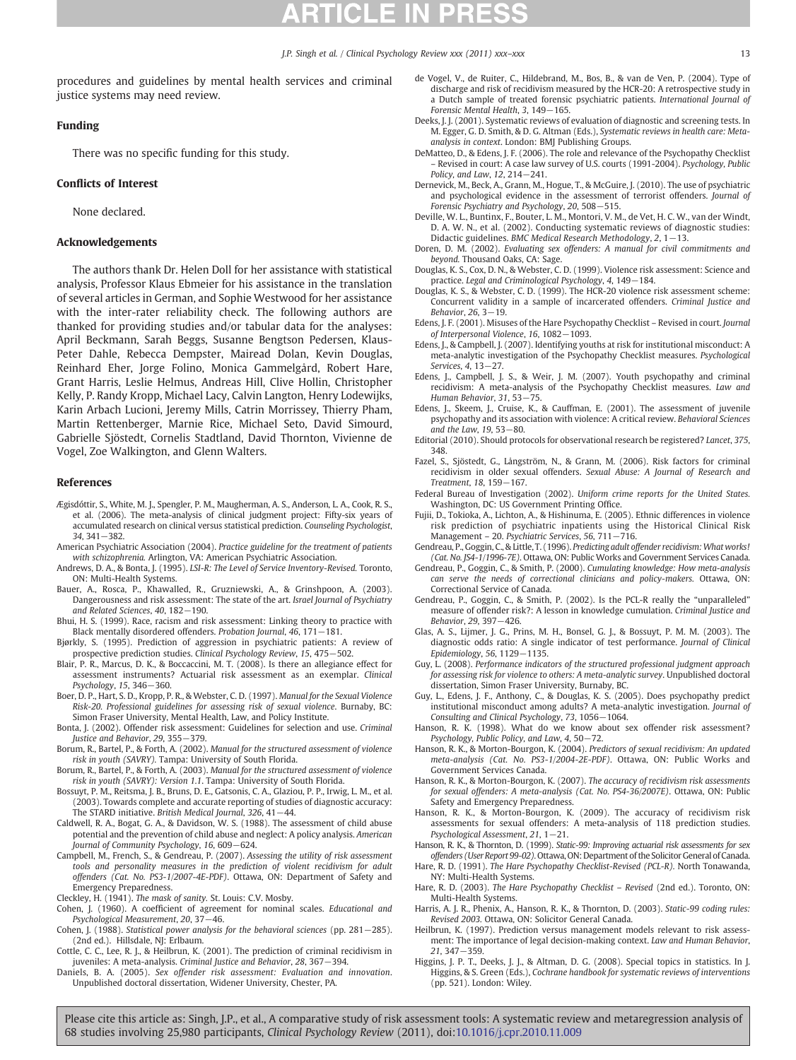<span id="page-12-0"></span>procedures and guidelines by mental health services and criminal justice systems may need review.

# Funding

There was no specific funding for this study.

# Conflicts of Interest

None declared.

### Acknowledgements

The authors thank Dr. Helen Doll for her assistance with statistical analysis, Professor Klaus Ebmeier for his assistance in the translation of several articles in German, and Sophie Westwood for her assistance with the inter-rater reliability check. The following authors are thanked for providing studies and/or tabular data for the analyses: April Beckmann, Sarah Beggs, Susanne Bengtson Pedersen, Klaus-Peter Dahle, Rebecca Dempster, Mairead Dolan, Kevin Douglas, Reinhard Eher, Jorge Folino, Monica Gammelgård, Robert Hare, Grant Harris, Leslie Helmus, Andreas Hill, Clive Hollin, Christopher Kelly, P. Randy Kropp, Michael Lacy, Calvin Langton, Henry Lodewijks, Karin Arbach Lucioni, Jeremy Mills, Catrin Morrissey, Thierry Pham, Martin Rettenberger, Marnie Rice, Michael Seto, David Simourd, Gabrielle Sjöstedt, Cornelis Stadtland, David Thornton, Vivienne de Vogel, Zoe Walkington, and Glenn Walters.

### References

- Ægisdóttir, S., White, M. J., Spengler, P. M., Maugherman, A. S., Anderson, L. A., Cook, R. S., et al. (2006). The meta-analysis of clinical judgment project: Fifty-six years of accumulated research on clinical versus statistical prediction. Counseling Psychologist, 34, 341−382.
- American Psychiatric Association (2004). Practice guideline for the treatment of patients with schizophrenia. Arlington, VA: American Psychiatric Association.
- Andrews, D. A., & Bonta, J. (1995). LSI-R: The Level of Service Inventory-Revised. Toronto, ON: Multi-Health Systems.
- Bauer, A., Rosca, P., Khawalled, R., Gruzniewski, A., & Grinshpoon, A. (2003). Dangerousness and risk assessment: The state of the art. Israel Journal of Psychiatry and Related Sciences, 40, 182−190.
- Bhui, H. S. (1999). Race, racism and risk assessment: Linking theory to practice with Black mentally disordered offenders. Probation Journal, 46, 171−181.
- Bjørkly, S. (1995). Prediction of aggression in psychiatric patients: A review of prospective prediction studies. Clinical Psychology Review, 15, 475−502.
- Blair, P. R., Marcus, D. K., & Boccaccini, M. T. (2008). Is there an allegiance effect for assessment instruments? Actuarial risk assessment as an exemplar. Clinical Psychology, 15, 346−360.
- Boer, D. P., Hart, S. D., Kropp, P. R., & Webster, C. D. (1997). Manual for the Sexual Violence Risk-20. Professional guidelines for assessing risk of sexual violence. Burnaby, BC: Simon Fraser University, Mental Health, Law, and Policy Institute.
- Bonta, J. (2002). Offender risk assessment: Guidelines for selection and use. Criminal Justice and Behavior, 29, 355−379.
- Borum, R., Bartel, P., & Forth, A. (2002). Manual for the structured assessment of violence risk in youth (SAVRY). Tampa: University of South Florida.
- Borum, R., Bartel, P., & Forth, A. (2003). Manual for the structured assessment of violence risk in youth (SAVRY): Version 1.1. Tampa: University of South Florida.
- Bossuyt, P. M., Reitsma, J. B., Bruns, D. E., Gatsonis, C. A., Glaziou, P. P., Irwig, L. M., et al. (2003). Towards complete and accurate reporting of studies of diagnostic accuracy: The STARD initiative. British Medical Journal, 326, 41−44.
- Caldwell, R. A., Bogat, G. A., & Davidson, W. S. (1988). The assessment of child abuse potential and the prevention of child abuse and neglect: A policy analysis. American Journal of Community Psychology, 16, 609−624.
- Campbell, M., French, S., & Gendreau, P. (2007). Assessing the utility of risk assessment tools and personality measures in the prediction of violent recidivism for adult offenders (Cat. No. PS3-1/2007-4E-PDF). Ottawa, ON: Department of Safety and Emergency Preparedness.
- Cleckley, H. (1941). The mask of sanity. St. Louis: C.V. Mosby.
- Cohen, J. (1960). A coefficient of agreement for nominal scales. Educational and Psychological Measurement, 20, 37−46.
- Cohen, J. (1988). Statistical power analysis for the behavioral sciences (pp. 281−285). (2nd ed.). Hillsdale, NJ: Erlbaum.
- Cottle, C. C., Lee, R. J., & Heilbrun, K. (2001). The prediction of criminal recidivism in juveniles: A meta-analysis. Criminal Justice and Behavior, 28, 367−394.
- Daniels, B. A. (2005). Sex offender risk assessment: Evaluation and innovation. Unpublished doctoral dissertation, Widener University, Chester, PA.
- de Vogel, V., de Ruiter, C., Hildebrand, M., Bos, B., & van de Ven, P. (2004). Type of discharge and risk of recidivism measured by the HCR-20: A retrospective study in a Dutch sample of treated forensic psychiatric patients. International Journal of Forensic Mental Health, 3, 149−165.
- Deeks, J. J. (2001). Systematic reviews of evaluation of diagnostic and screening tests. In M. Egger, G. D. Smith, & D. G. Altman (Eds.), Systematic reviews in health care: Metaanalysis in context. London: BMJ Publishing Groups.
- DeMatteo, D., & Edens, J. F. (2006). The role and relevance of the Psychopathy Checklist – Revised in court: A case law survey of U.S. courts (1991-2004). Psychology, Public Policy, and Law, 12, 214−241.
- Dernevick, M., Beck, A., Grann, M., Hogue, T., & McGuire, J. (2010). The use of psychiatric and psychological evidence in the assessment of terrorist offenders. Journal of Forensic Psychiatry and Psychology, 20, 508−515.
- Deville, W. L., Buntinx, F., Bouter, L. M., Montori, V. M., de Vet, H. C. W., van der Windt, D. A. W. N., et al. (2002). Conducting systematic reviews of diagnostic studies: Didactic guidelines. BMC Medical Research Methodology, 2, 1−13.
- Doren, D. M. (2002). Evaluating sex offenders: A manual for civil commitments and beyond. Thousand Oaks, CA: Sage.
- Douglas, K. S., Cox, D. N., & Webster, C. D. (1999). Violence risk assessment: Science and practice. Legal and Criminological Psychology, 4, 149−184.
- Douglas, K. S., & Webster, C. D. (1999). The HCR-20 violence risk assessment scheme: Concurrent validity in a sample of incarcerated offenders. Criminal Justice and Behavior, 26, 3−19.
- Edens, J. F. (2001). Misuses of the Hare Psychopathy Checklist Revised in court. Journal
- of Interpersonal Violence, 16, 1082−1093. Edens, J., & Campbell, J. (2007). Identifying youths at risk for institutional misconduct: A meta-analytic investigation of the Psychopathy Checklist measures. Psychological Services, 4, 13−27.
- Edens, J., Campbell, J. S., & Weir, J. M. (2007). Youth psychopathy and criminal recidivism: A meta-analysis of the Psychopathy Checklist measures. Law and Human Behavior, 31, 53−75.
- Edens, J., Skeem, J., Cruise, K., & Cauffman, E. (2001). The assessment of juvenile psychopathy and its association with violence: A critical review. Behavioral Sciences and the Law, 19, 53−80.
- Editorial (2010). Should protocols for observational research be registered? Lancet, 375, 348.
- Fazel, S., Sjöstedt, G., Långström, N., & Grann, M. (2006). Risk factors for criminal recidivism in older sexual offenders. Sexual Abuse: A Journal of Research and Treatment, 18, 159−167.
- Federal Bureau of Investigation (2002). Uniform crime reports for the United States. Washington, DC: US Government Printing Office.
- Fujii, D., Tokioka, A., Lichton, A., & Hishinuma, E. (2005). Ethnic differences in violence risk prediction of psychiatric inpatients using the Historical Clinical Risk Management – 20. Psychiatric Services, 56, 711−716.
- Gendreau, P., Goggin, C., & Little, T. (1996). Predicting adult offender recidivism:What works! (Cat. No. JS4-1/1996-7E). Ottawa, ON: Public Works and Government Services Canada.
- Gendreau, P., Goggin, C., & Smith, P. (2000). Cumulating knowledge: How meta-analysis can serve the needs of correctional clinicians and policy-makers. Ottawa, ON: Correctional Service of Canada.
- Gendreau, P., Goggin, C., & Smith, P. (2002). Is the PCL-R really the "unparalleled" measure of offender risk?: A lesson in knowledge cumulation. Criminal Justice and Behavior, 29, 397−426.
- Glas, A. S., Lijmer, J. G., Prins, M. H., Bonsel, G. J., & Bossuyt, P. M. M. (2003). The diagnostic odds ratio: A single indicator of test performance. Journal of Clinical Epidemiology, 56, 1129−1135.
- Guy, L. (2008). Performance indicators of the structured professional judgment approach for assessing risk for violence to others: A meta-analytic survey. Unpublished doctoral dissertation, Simon Fraser University, Burnaby, BC.
- Guy, L., Edens, J. F., Anthony, C., & Douglas, K. S. (2005). Does psychopathy predict institutional misconduct among adults? A meta-analytic investigation. Journal of Consulting and Clinical Psychology, 73, 1056−1064.
- Hanson, R. K. (1998). What do we know about sex offender risk assessment? Psychology, Public Policy, and Law, 4, 50−72.
- Hanson, R. K., & Morton-Bourgon, K. (2004). Predictors of sexual recidivism: An updated meta-analysis (Cat. No. PS3-1/2004-2E-PDF). Ottawa, ON: Public Works and Government Services Canada.
- Hanson, R. K., & Morton-Bourgon, K. (2007). The accuracy of recidivism risk assessments for sexual offenders: A meta-analysis (Cat. No. PS4-36/2007E). Ottawa, ON: Public Safety and Emergency Preparedness.
- Hanson, R. K., & Morton-Bourgon, K. (2009). The accuracy of recidivism risk assessments for sexual offenders: A meta-analysis of 118 prediction studies. Psychological Assessment, 21, 1−21.
- Hanson, R. K., & Thornton, D. (1999). Static-99: Improving actuarial risk assessments for sex offenders (User Report 99-02). Ottawa, ON: Department of the Solicitor General of Canada.
- Hare, R. D. (1991). The Hare Psychopathy Checklist-Revised (PCL-R). North Tonawanda, NY: Multi-Health Systems.
- Hare, R. D. (2003). The Hare Psychopathy Checklist Revised (2nd ed.). Toronto, ON: Multi-Health Systems.
- Harris, A. J. R., Phenix, A., Hanson, R. K., & Thornton, D. (2003). Static-99 coding rules: Revised 2003. Ottawa, ON: Solicitor General Canada.
- Heilbrun, K. (1997). Prediction versus management models relevant to risk assessment: The importance of legal decision-making context. Law and Human Behavior, 21, 347−359.
- Higgins, J. P. T., Deeks, J. J., & Altman, D. G. (2008). Special topics in statistics. In J. Higgins, & S. Green (Eds.), Cochrane handbook for systematic reviews of interventions (pp. 521). London: Wiley.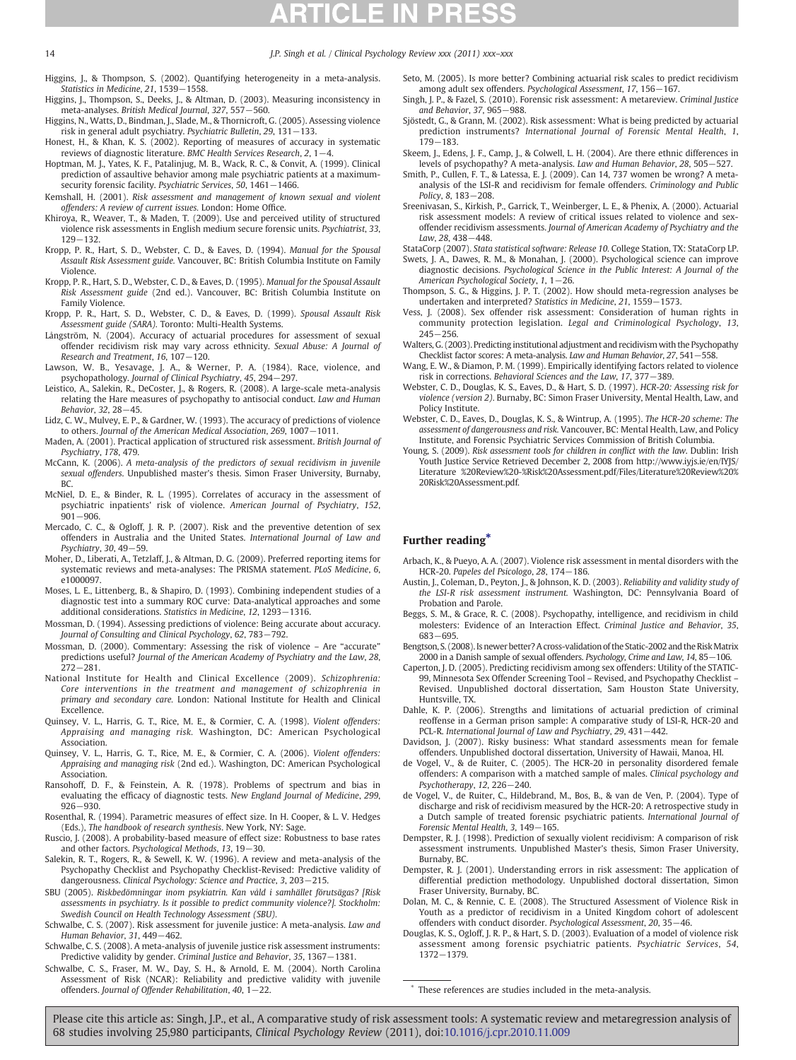# <span id="page-13-0"></span>Higgins, J., & Thompson, S. (2002). Quantifying heterogeneity in a meta-analysis. Statistics in Medicine, 21, 1539−1558.

- Higgins, J., Thompson, S., Deeks, J., & Altman, D. (2003). Measuring inconsistency in meta-analyses. British Medical Journal, 327, 557−560.
- Higgins, N., Watts, D., Bindman, J., Slade, M., & Thornicroft, G. (2005). Assessing violence risk in general adult psychiatry. Psychiatric Bulletin, 29, 131−133.
- Honest, H., & Khan, K. S. (2002). Reporting of measures of accuracy in systematic reviews of diagnostic literature. BMC Health Services Research, 2, 1−4.
- Hoptman, M. J., Yates, K. F., Patalinjug, M. B., Wack, R. C., & Convit, A. (1999). Clinical prediction of assaultive behavior among male psychiatric patients at a maximumsecurity forensic facility. Psychiatric Services, 50, 1461−1466.
- Kemshall, H. (2001). Risk assessment and management of known sexual and violent offenders: A review of current issues. London: Home Office.
- Khiroya, R., Weaver, T., & Maden, T. (2009). Use and perceived utility of structured violence risk assessments in English medium secure forensic units. Psychiatrist, 33, 129−132.
- Kropp, P. R., Hart, S. D., Webster, C. D., & Eaves, D. (1994). Manual for the Spousal Assault Risk Assessment guide. Vancouver, BC: British Columbia Institute on Family Violence.
- Kropp, P. R., Hart, S. D., Webster, C. D., & Eaves, D. (1995). Manual for the Spousal Assault Risk Assessment guide (2nd ed.). Vancouver, BC: British Columbia Institute on Family Violence.
- Kropp, P. R., Hart, S. D., Webster, C. D., & Eaves, D. (1999). Spousal Assault Risk Assessment guide (SARA). Toronto: Multi-Health Systems.
- Långström, N. (2004). Accuracy of actuarial procedures for assessment of sexual offender recidivism risk may vary across ethnicity. Sexual Abuse: A Journal of Research and Treatment, 16, 107−120.
- Lawson, W. B., Yesavage, J. A., & Werner, P. A. (1984). Race, violence, and psychopathology. Journal of Clinical Psychiatry, 45, 294−297.
- Leistico, A., Salekin, R., DeCoster, J., & Rogers, R. (2008). A large-scale meta-analysis relating the Hare measures of psychopathy to antisocial conduct. Law and Human Behavior, 32, 28−45.
- Lidz, C. W., Mulvey, E. P., & Gardner, W. (1993). The accuracy of predictions of violence to others. Journal of the American Medical Association, 269, 1007−1011.
- Maden, A. (2001). Practical application of structured risk assessment. British Journal of Psychiatry, 178, 479.
- McCann, K. (2006). A meta-analysis of the predictors of sexual recidivism in juvenile sexual offenders. Unpublished master's thesis. Simon Fraser University, Burnaby, BC.
- McNiel, D. E., & Binder, R. L. (1995). Correlates of accuracy in the assessment of psychiatric inpatients' risk of violence. American Journal of Psychiatry, 152, 901−906.
- Mercado, C. C., & Ogloff, J. R. P. (2007). Risk and the preventive detention of sex offenders in Australia and the United States. International Journal of Law and Psychiatry, 30, 49−59.
- Moher, D., Liberati, A., Tetzlaff, J., & Altman, D. G. (2009). Preferred reporting items for systematic reviews and meta-analyses: The PRISMA statement. PLoS Medicine, 6, e1000097.
- Moses, L. E., Littenberg, B., & Shapiro, D. (1993). Combining independent studies of a diagnostic test into a summary ROC curve: Data-analytical approaches and some additional considerations. Statistics in Medicine, 12, 1293−1316.
- Mossman, D. (1994). Assessing predictions of violence: Being accurate about accuracy. Journal of Consulting and Clinical Psychology, 62, 783−792.
- Mossman, D. (2000). Commentary: Assessing the risk of violence Are "accurate" predictions useful? Journal of the American Academy of Psychiatry and the Law, 28, 272−281.
- National Institute for Health and Clinical Excellence (2009). Schizophrenia: Core interventions in the treatment and management of schizophrenia in primary and secondary care. London: National Institute for Health and Clinical Excellence.
- Quinsey, V. L., Harris, G. T., Rice, M. E., & Cormier, C. A. (1998). Violent offenders: Appraising and managing risk. Washington, DC: American Psychological Association.
- Quinsey, V. L., Harris, G. T., Rice, M. E., & Cormier, C. A. (2006). Violent offenders: Appraising and managing risk (2nd ed.). Washington, DC: American Psychological Association.
- Ransohoff, D. F., & Feinstein, A. R. (1978). Problems of spectrum and bias in evaluating the efficacy of diagnostic tests. New England Journal of Medicine, 299, 926−930.
- Rosenthal, R. (1994). Parametric measures of effect size. In H. Cooper, & L. V. Hedges (Eds.), The handbook of research synthesis. New York, NY: Sage.
- Ruscio, J. (2008). A probability-based measure of effect size: Robustness to base rates and other factors. Psychological Methods, 13, 19−30.
- Salekin, R. T., Rogers, R., & Sewell, K. W. (1996). A review and meta-analysis of the Psychopathy Checklist and Psychopathy Checklist-Revised: Predictive validity of dangerousness. Clinical Psychology: Science and Practice, 3, 203−215.
- SBU (2005). Riskbedömningar inom psykiatrin. Kan våld i samhället förutsägas? [Risk assessments in psychiatry. Is it possible to predict community violence?]. Stockholm: Swedish Council on Health Technology Assessment (SBU).
- Schwalbe, C. S. (2007). Risk assessment for juvenile justice: A meta-analysis. Law and Human Behavior, 31, 449−462.
- Schwalbe, C. S. (2008). A meta-analysis of juvenile justice risk assessment instruments: Predictive validity by gender. Criminal Justice and Behavior, 35, 1367-1381.
- Schwalbe, C. S., Fraser, M. W., Day, S. H., & Arnold, E. M. (2004). North Carolina Assessment of Risk (NCAR): Reliability and predictive validity with juvenile offenders. Journal of Offender Rehabilitation, 40, 1−22.
- Seto, M. (2005). Is more better? Combining actuarial risk scales to predict recidivism among adult sex offenders. Psychological Assessment, 17, 156−167.
- Singh, J. P., & Fazel, S. (2010). Forensic risk assessment: A metareview. Criminal Justice and Behavior, 37, 965−988. Sjöstedt, G., & Grann, M. (2002). Risk assessment: What is being predicted by actuarial
- prediction instruments? International Journal of Forensic Mental Health, 1, 179−183.
- Skeem, J., Edens, J. F., Camp, J., & Colwell, L. H. (2004). Are there ethnic differences in
- levels of psychopathy? A meta-analysis. Law and Human Behavior, 28, 505−527. Smith, P., Cullen, F. T., & Latessa, E. J. (2009). Can 14, 737 women be wrong? A metaanalysis of the LSI-R and recidivism for female offenders. Criminology and Public Policy, 8, 183−208.
- Sreenivasan, S., Kirkish, P., Garrick, T., Weinberger, L. E., & Phenix, A. (2000). Actuarial risk assessment models: A review of critical issues related to violence and sexoffender recidivism assessments. Journal of American Academy of Psychiatry and the Law, 28, 438−448.
- StataCorp (2007). Stata statistical software: Release 10. College Station, TX: StataCorp LP.
- Swets, J. A., Dawes, R. M., & Monahan, J. (2000). Psychological science can improve diagnostic decisions. Psychological Science in the Public Interest: A Journal of the American Psychological Society, 1, 1−26.
- Thompson, S. G., & Higgins, J. P. T. (2002). How should meta-regression analyses be undertaken and interpreted? Statistics in Medicine, 21, 1559−1573.
- Vess, J. (2008). Sex offender risk assessment: Consideration of human rights in community protection legislation. Legal and Criminological Psychology, 13, 245−256.
- Walters, G. (2003). Predicting institutional adjustment and recidivism with the Psychopathy Checklist factor scores: A meta-analysis. Law and Human Behavior, 27, 541−558.
- Wang, E. W., & Diamon, P. M. (1999). Empirically identifying factors related to violence risk in corrections. Behavioral Sciences and the Law, 17, 377−389.
- Webster, C. D., Douglas, K. S., Eaves, D., & Hart, S. D. (1997). HCR-20: Assessing risk for violence (version 2). Burnaby, BC: Simon Fraser University, Mental Health, Law, and Policy Institute.
- Webster, C. D., Eaves, D., Douglas, K. S., & Wintrup, A. (1995). The HCR-20 scheme: The assessment of dangerousness and risk. Vancouver, BC: Mental Health, Law, and Policy Institute, and Forensic Psychiatric Services Commission of British Columbia.
- Young, S. (2009). Risk assessment tools for children in conflict with the law. Dublin: Irish Youth Justice Service Retrieved December 2, 2008 from http://www.iyjs.ie/en/IYJS/ Literature %20Review%20-%Risk%20Assessment.pdf/Files/Literature%20Review%20% 20Risk%20Assessment.pdf.

# Further reading<sup>\*</sup>

- Arbach, K., & Pueyo, A. A. (2007). Violence risk assessment in mental disorders with the HCR-20. Papeles del Psicologo, 28, 174−186.
- Austin, J., Coleman, D., Peyton, J., & Johnson, K. D. (2003). Reliability and validity study of the LSI-R risk assessment instrument. Washington, DC: Pennsylvania Board of Probation and Parole.
- Beggs, S. M., & Grace, R. C. (2008). Psychopathy, intelligence, and recidivism in child molesters: Evidence of an Interaction Effect. Criminal Justice and Behavior, 35, 683−695.
- Bengtson, S. (2008). Is newer better? A cross-validation of the Static-2002 and the Risk Matrix 2000 in a Danish sample of sexual offenders. Psychology, Crime and Law, 14, 85−106.
- Caperton, J. D. (2005). Predicting recidivism among sex offenders: Utility of the STATIC-99, Minnesota Sex Offender Screening Tool – Revised, and Psychopathy Checklist – Revised. Unpublished doctoral dissertation, Sam Houston State University, Huntsville, TX.
- Dahle, K. P. (2006). Strengths and limitations of actuarial prediction of criminal reoffense in a German prison sample: A comparative study of LSI-R, HCR-20 and PCL-R. International Journal of Law and Psychiatry, 29, 431−442.
- Davidson, J. (2007). Risky business: What standard assessments mean for female offenders. Unpublished doctoral dissertation, University of Hawaii, Manoa, HI.
- de Vogel, V., & de Ruiter, C. (2005). The HCR-20 in personality disordered female offenders: A comparison with a matched sample of males. Clinical psychology and Psychotherapy, 12, 226−240.
- de Vogel, V., de Ruiter, C., Hildebrand, M., Bos, B., & van de Ven, P. (2004). Type of discharge and risk of recidivism measured by the HCR-20: A retrospective study in a Dutch sample of treated forensic psychiatric patients. International Journal of Forensic Mental Health, 3, 149−165.
- Dempster, R. J. (1998). Prediction of sexually violent recidivism: A comparison of risk assessment instruments. Unpublished Master's thesis, Simon Fraser University, Burnaby, BC.
- Dempster, R. J. (2001). Understanding errors in risk assessment: The application of differential prediction methodology. Unpublished doctoral dissertation, Simon Fraser University, Burnaby, BC.
- Dolan, M. C., & Rennie, C. E. (2008). The Structured Assessment of Violence Risk in Youth as a predictor of recidivism in a United Kingdom cohort of adolescent offenders with conduct disorder. Psychological Assessment, 20, 35−46.
- Douglas, K. S., Ogloff, J. R. P., & Hart, S. D. (2003). Evaluation of a model of violence risk assessment among forensic psychiatric patients. Psychiatric Services, 54, 1372−1379.